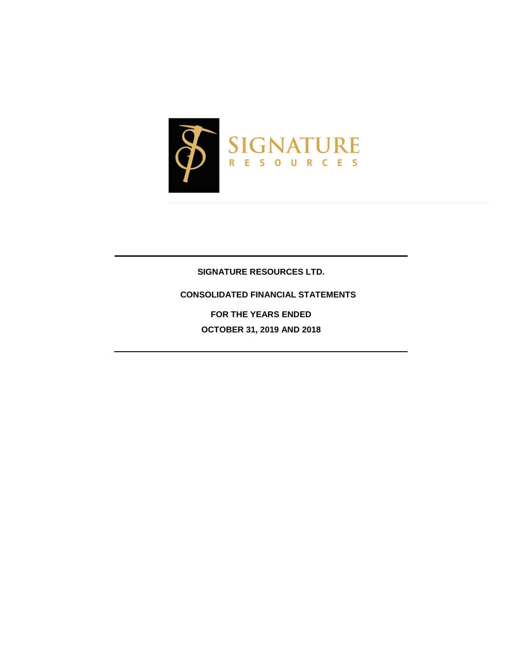

# **SIGNATURE RESOURCES LTD.**

# **CONSOLIDATED FINANCIAL STATEMENTS**

**FOR THE YEARS ENDED OCTOBER 31, 2019 AND 2018**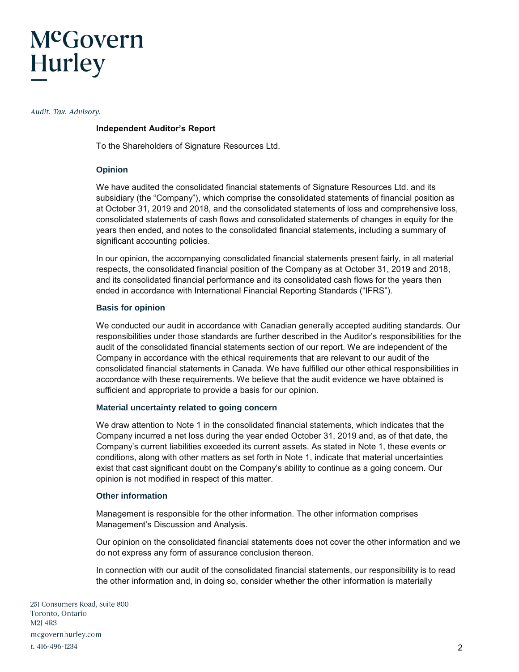# McGovern **Hurley**

Audit. Tax. Advisory.

## **Independent Auditor's Report**

To the Shareholders of Signature Resources Ltd.

## **Opinion**

We have audited the consolidated financial statements of Signature Resources Ltd. and its subsidiary (the "Company"), which comprise the consolidated statements of financial position as at October 31, 2019 and 2018, and the consolidated statements of loss and comprehensive loss, consolidated statements of cash flows and consolidated statements of changes in equity for the years then ended, and notes to the consolidated financial statements, including a summary of significant accounting policies.

In our opinion, the accompanying consolidated financial statements present fairly, in all material respects, the consolidated financial position of the Company as at October 31, 2019 and 2018, and its consolidated financial performance and its consolidated cash flows for the years then ended in accordance with International Financial Reporting Standards ("IFRS").

# **Basis for opinion**

We conducted our audit in accordance with Canadian generally accepted auditing standards. Our responsibilities under those standards are further described in the Auditor's responsibilities for the audit of the consolidated financial statements section of our report. We are independent of the Company in accordance with the ethical requirements that are relevant to our audit of the consolidated financial statements in Canada. We have fulfilled our other ethical responsibilities in accordance with these requirements. We believe that the audit evidence we have obtained is sufficient and appropriate to provide a basis for our opinion.

## **Material uncertainty related to going concern**

We draw attention to Note 1 in the consolidated financial statements, which indicates that the Company incurred a net loss during the year ended October 31, 2019 and, as of that date, the Company's current liabilities exceeded its current assets. As stated in Note 1, these events or conditions, along with other matters as set forth in Note 1, indicate that material uncertainties exist that cast significant doubt on the Company's ability to continue as a going concern. Our opinion is not modified in respect of this matter.

## **Other information**

Management is responsible for the other information. The other information comprises Management's Discussion and Analysis.

Our opinion on the consolidated financial statements does not cover the other information and we do not express any form of assurance conclusion thereon.

In connection with our audit of the consolidated financial statements, our responsibility is to read the other information and, in doing so, consider whether the other information is materially

251 Consumers Road, Suite 800 Toronto, Ontario M<sub>2</sub>J 4R<sub>3</sub> mcgovernhurley.com t. 416-496-1234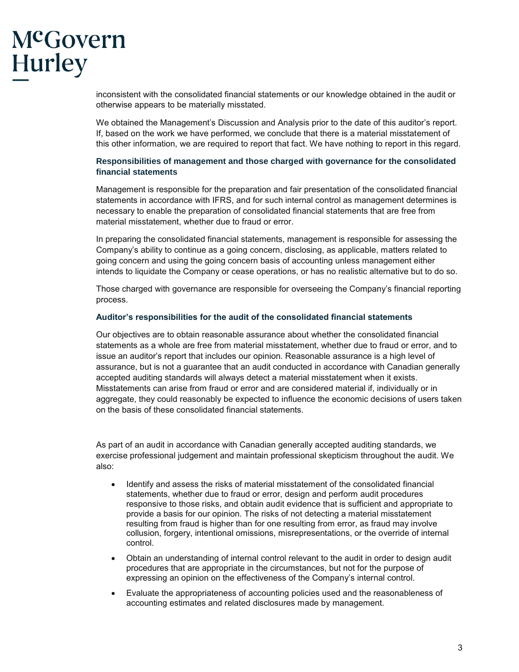# McGovern Hurley

inconsistent with the consolidated financial statements or our knowledge obtained in the audit or otherwise appears to be materially misstated.

We obtained the Management's Discussion and Analysis prior to the date of this auditor's report. If, based on the work we have performed, we conclude that there is a material misstatement of this other information, we are required to report that fact. We have nothing to report in this regard.

# **Responsibilities of management and those charged with governance for the consolidated financial statements**

Management is responsible for the preparation and fair presentation of the consolidated financial statements in accordance with IFRS, and for such internal control as management determines is necessary to enable the preparation of consolidated financial statements that are free from material misstatement, whether due to fraud or error.

In preparing the consolidated financial statements, management is responsible for assessing the Company's ability to continue as a going concern, disclosing, as applicable, matters related to going concern and using the going concern basis of accounting unless management either intends to liquidate the Company or cease operations, or has no realistic alternative but to do so.

Those charged with governance are responsible for overseeing the Company's financial reporting process.

# **Auditor's responsibilities for the audit of the consolidated financial statements**

Our objectives are to obtain reasonable assurance about whether the consolidated financial statements as a whole are free from material misstatement, whether due to fraud or error, and to issue an auditor's report that includes our opinion. Reasonable assurance is a high level of assurance, but is not a guarantee that an audit conducted in accordance with Canadian generally accepted auditing standards will always detect a material misstatement when it exists. Misstatements can arise from fraud or error and are considered material if, individually or in aggregate, they could reasonably be expected to influence the economic decisions of users taken on the basis of these consolidated financial statements.

As part of an audit in accordance with Canadian generally accepted auditing standards, we exercise professional judgement and maintain professional skepticism throughout the audit. We also:

- Identify and assess the risks of material misstatement of the consolidated financial statements, whether due to fraud or error, design and perform audit procedures responsive to those risks, and obtain audit evidence that is sufficient and appropriate to provide a basis for our opinion. The risks of not detecting a material misstatement resulting from fraud is higher than for one resulting from error, as fraud may involve collusion, forgery, intentional omissions, misrepresentations, or the override of internal control.
- Obtain an understanding of internal control relevant to the audit in order to design audit procedures that are appropriate in the circumstances, but not for the purpose of expressing an opinion on the effectiveness of the Company's internal control.
- Evaluate the appropriateness of accounting policies used and the reasonableness of accounting estimates and related disclosures made by management.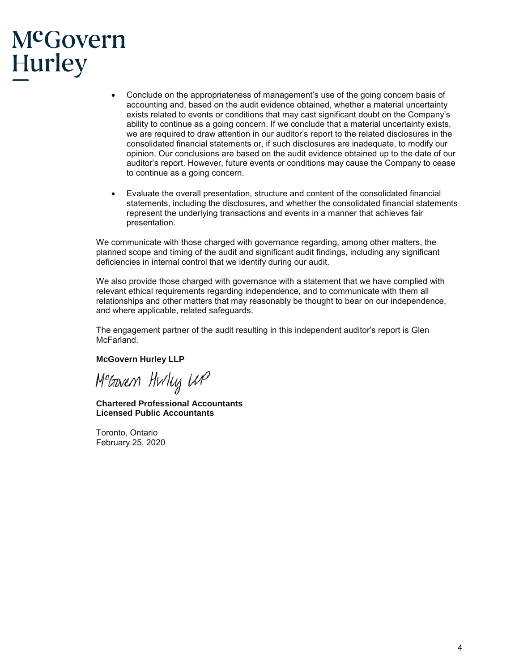# McGovern Hurley

- Conclude on the appropriateness of management's use of the going concern basis of accounting and, based on the audit evidence obtained, whether a material uncertainty exists related to events or conditions that may cast significant doubt on the Company's ability to continue as a going concern. If we conclude that a material uncertainty exists, we are required to draw attention in our auditor's report to the related disclosures in the consolidated financial statements or, if such disclosures are inadequate, to modify our opinion. Our conclusions are based on the audit evidence obtained up to the date of our auditor's report. However, future events or conditions may cause the Company to cease to continue as a going concern.
- Evaluate the overall presentation, structure and content of the consolidated financial statements, including the disclosures, and whether the consolidated financial statements represent the underlying transactions and events in a manner that achieves fair presentation.

We communicate with those charged with governance regarding, among other matters, the planned scope and timing of the audit and significant audit findings, including any significant deficiencies in internal control that we identify during our audit.

We also provide those charged with governance with a statement that we have complied with relevant ethical requirements regarding independence, and to communicate with them all relationships and other matters that may reasonably be thought to bear on our independence, and where applicable, related safeguards.

The engagement partner of the audit resulting in this independent auditor's report is Glen McFarland.

## **McGovern Hurley LLP**

M<sup>e</sup>awen Hwluj WP

**Chartered Professional Accountants Licensed Public Accountants**

Toronto, Ontario February 25, 2020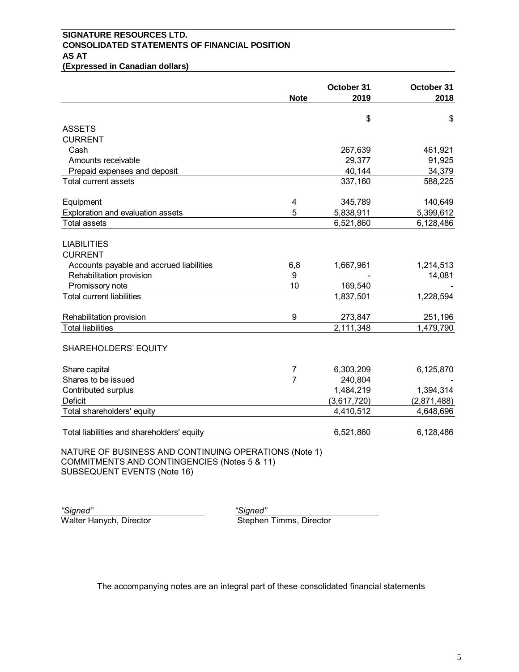# **SIGNATURE RESOURCES LTD. CONSOLIDATED STATEMENTS OF FINANCIAL POSITION AS AT (Expressed in Canadian dollars)**

|                                                                                                       |                | October 31  | October 31  |
|-------------------------------------------------------------------------------------------------------|----------------|-------------|-------------|
|                                                                                                       | <b>Note</b>    | 2019        | 2018        |
|                                                                                                       |                |             | \$          |
| <b>ASSETS</b>                                                                                         |                | \$          |             |
| <b>CURRENT</b>                                                                                        |                |             |             |
| Cash                                                                                                  |                | 267,639     | 461,921     |
| Amounts receivable                                                                                    |                | 29,377      | 91,925      |
| Prepaid expenses and deposit                                                                          |                | 40,144      | 34,379      |
| Total current assets                                                                                  |                | 337,160     | 588,225     |
| Equipment                                                                                             | 4              | 345,789     | 140,649     |
| Exploration and evaluation assets                                                                     | 5              | 5,838,911   | 5,399,612   |
| <b>Total assets</b>                                                                                   |                | 6,521,860   | 6,128,486   |
| <b>LIABILITIES</b>                                                                                    |                |             |             |
| <b>CURRENT</b>                                                                                        |                |             |             |
| Accounts payable and accrued liabilities                                                              | 6,8            | 1,667,961   | 1,214,513   |
| Rehabilitation provision                                                                              | 9              |             | 14,081      |
| Promissory note                                                                                       | 10             | 169,540     |             |
| <b>Total current liabilities</b>                                                                      |                | 1,837,501   | 1,228,594   |
| Rehabilitation provision                                                                              | 9              | 273,847     | 251,196     |
| <b>Total liabilities</b>                                                                              |                | 2,111,348   | 1,479,790   |
| SHAREHOLDERS' EQUITY                                                                                  |                |             |             |
| Share capital                                                                                         | 7              | 6,303,209   | 6,125,870   |
| Shares to be issued                                                                                   | $\overline{7}$ | 240,804     |             |
| Contributed surplus                                                                                   |                | 1,484,219   | 1,394,314   |
| Deficit                                                                                               |                | (3,617,720) | (2,871,488) |
| Total shareholders' equity                                                                            |                | 4,410,512   | 4,648,696   |
| Total liabilities and shareholders' equity                                                            |                | 6,521,860   | 6,128,486   |
| NATURE OF BUSINESS AND CONTINUING OPERATIONS (Note 1)<br>COMMITMENTS AND CONTINGENCIES (Notes 5 & 11) |                |             |             |

SUBSEQUENT EVENTS (Note 16)

*"Signed" "Signed"*

Walter Hanych, Director Stephen Timms, Director

The accompanying notes are an integral part of these consolidated financial statements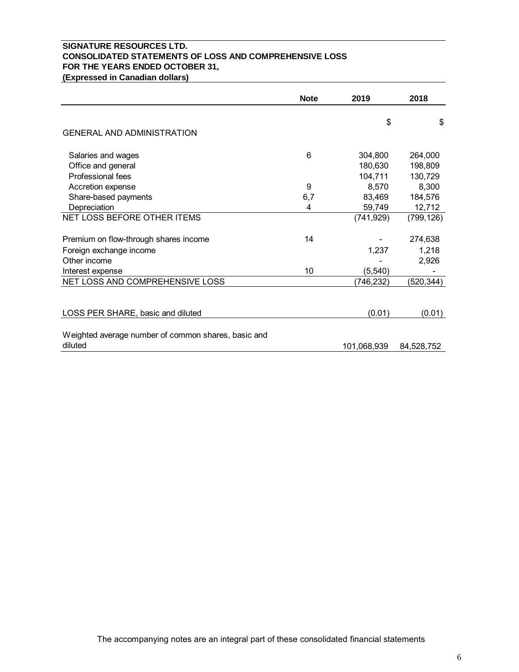# **SIGNATURE RESOURCES LTD. CONSOLIDATED STATEMENTS OF LOSS AND COMPREHENSIVE LOSS FOR THE YEARS ENDED OCTOBER 31, (Expressed in Canadian dollars)**

|                                                     | <b>Note</b> | 2019        | 2018       |
|-----------------------------------------------------|-------------|-------------|------------|
|                                                     |             | \$          | \$         |
| <b>GENERAL AND ADMINISTRATION</b>                   |             |             |            |
| Salaries and wages                                  | 6           | 304,800     | 264,000    |
| Office and general                                  |             | 180,630     | 198,809    |
| Professional fees                                   |             | 104,711     | 130,729    |
| Accretion expense                                   | 9           | 8,570       | 8,300      |
| Share-based payments                                | 6,7         | 83,469      | 184,576    |
| Depreciation                                        | 4           | 59,749      | 12,712     |
| NET LOSS BEFORE OTHER ITEMS                         |             | (741, 929)  | (799, 126) |
| Premium on flow-through shares income               | 14          |             | 274,638    |
| Foreign exchange income                             |             | 1,237       | 1,218      |
| Other income                                        |             |             | 2,926      |
| Interest expense                                    | 10          | (5, 540)    |            |
| NET LOSS AND COMPREHENSIVE LOSS                     |             | (746,232)   | (520, 344) |
|                                                     |             |             |            |
| LOSS PER SHARE, basic and diluted                   |             | (0.01)      | (0.01)     |
|                                                     |             |             |            |
| Weighted average number of common shares, basic and |             |             |            |
| diluted                                             |             | 101,068,939 | 84,528,752 |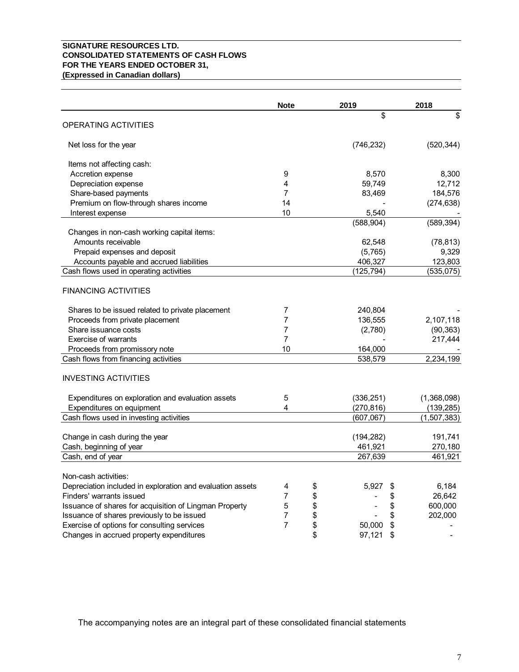## **SIGNATURE RESOURCES LTD. CONSOLIDATED STATEMENTS OF CASH FLOWS FOR THE YEARS ENDED OCTOBER 31, (Expressed in Canadian dollars)**

|                                                            | <b>Note</b>    | 2019         | 2018          |
|------------------------------------------------------------|----------------|--------------|---------------|
|                                                            |                | \$           | \$            |
| <b>OPERATING ACTIVITIES</b>                                |                |              |               |
| Net loss for the year                                      |                | (746, 232)   | (520, 344)    |
| Items not affecting cash:                                  |                |              |               |
| Accretion expense                                          | 9              | 8,570        | 8,300         |
| Depreciation expense                                       | 4              | 59,749       | 12,712        |
| Share-based payments                                       | 7              | 83,469       | 184,576       |
| Premium on flow-through shares income                      | 14             |              | (274, 638)    |
| Interest expense                                           | 10             | 5,540        |               |
|                                                            |                | (588, 904)   | (589, 394)    |
| Changes in non-cash working capital items:                 |                |              |               |
| Amounts receivable                                         |                | 62,548       | (78, 813)     |
| Prepaid expenses and deposit                               |                | (5,765)      | 9,329         |
| Accounts payable and accrued liabilities                   |                | 406,327      | 123,803       |
| Cash flows used in operating activities                    |                | (125, 794)   | (535, 075)    |
|                                                            |                |              |               |
| <b>FINANCING ACTIVITIES</b>                                |                |              |               |
| Shares to be issued related to private placement           | 7              | 240,804      |               |
| Proceeds from private placement                            | 7              | 136,555      | 2,107,118     |
| Share issuance costs                                       | 7              | (2,780)      | (90, 363)     |
| <b>Exercise of warrants</b>                                | 7              |              | 217,444       |
| Proceeds from promissory note                              | 10             | 164,000      |               |
| Cash flows from financing activities                       |                | 538,579      | 2,234,199     |
| <b>INVESTING ACTIVITIES</b>                                |                |              |               |
| Expenditures on exploration and evaluation assets          | 5              | (336, 251)   | (1,368,098)   |
| Expenditures on equipment                                  | 4              | (270, 816)   | (139, 285)    |
| Cash flows used in investing activities                    |                | (607,067)    | (1,507,383)   |
|                                                            |                |              |               |
| Change in cash during the year                             |                | (194, 282)   | 191,741       |
| Cash, beginning of year                                    |                | 461,921      | 270,180       |
| Cash, end of year                                          |                | 267,639      | 461,921       |
| Non-cash activities:                                       |                |              |               |
| Depreciation included in exploration and evaluation assets | 4              | \$<br>5,927  | 6,184         |
| Finders' warrants issued                                   | $\overline{7}$ | \$           | 26,642        |
| Issuance of shares for acquisition of Lingman Property     | $\mathbf 5$    | \$           | \$<br>600,000 |
| Issuance of shares previously to be issued                 | $\overline{7}$ | \$           | \$<br>202,000 |
| Exercise of options for consulting services                | $\overline{7}$ | \$<br>50,000 | \$            |
| Changes in accrued property expenditures                   |                | \$<br>97,121 | \$            |

The accompanying notes are an integral part of these consolidated financial statements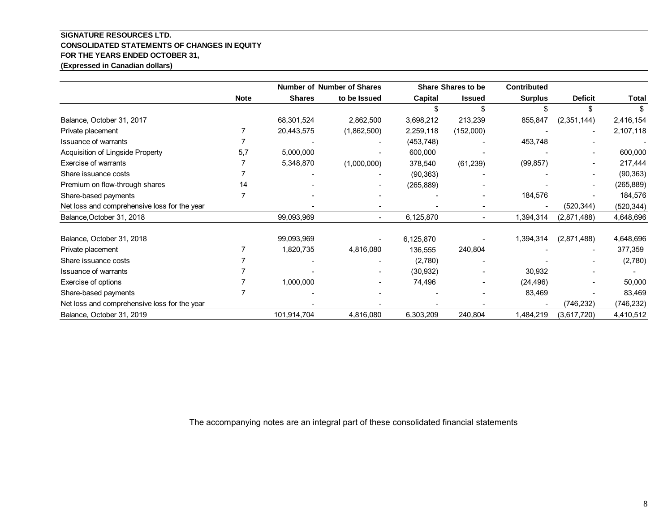# **SIGNATURE RESOURCES LTD. CONSOLIDATED STATEMENTS OF CHANGES IN EQUITY FOR THE YEARS ENDED OCTOBER 31,**

**(Expressed in Canadian dollars)**

|                                              |             |               | <b>Number of Number of Shares</b> |            | Share Shares to be | <b>Contributed</b> |                |              |
|----------------------------------------------|-------------|---------------|-----------------------------------|------------|--------------------|--------------------|----------------|--------------|
|                                              | <b>Note</b> | <b>Shares</b> | to be Issued                      | Capital    | <b>Issued</b>      | <b>Surplus</b>     | <b>Deficit</b> | <b>Total</b> |
|                                              |             |               |                                   |            |                    |                    | \$             |              |
| Balance, October 31, 2017                    |             | 68,301,524    | 2,862,500                         | 3,698,212  | 213,239            | 855,847            | (2,351,144)    | 2,416,154    |
| Private placement                            |             | 20,443,575    | (1,862,500)                       | 2,259,118  | (152,000)          |                    |                | 2,107,118    |
| <b>Issuance of warrants</b>                  |             |               |                                   | (453, 748) |                    | 453,748            |                |              |
| Acquisition of Lingside Property             | 5.7         | 5,000,000     |                                   | 600,000    |                    |                    |                | 600,000      |
| Exercise of warrants                         |             | 5,348,870     | (1,000,000)                       | 378,540    | (61, 239)          | (99, 857)          |                | 217,444      |
| Share issuance costs                         |             |               |                                   | (90, 363)  |                    |                    |                | (90, 363)    |
| Premium on flow-through shares               | 14          |               |                                   | (265, 889) |                    |                    |                | (265, 889)   |
| Share-based payments                         |             |               |                                   |            |                    | 184,576            |                | 184,576      |
| Net loss and comprehensive loss for the year |             |               |                                   |            |                    |                    | (520, 344)     | (520, 344)   |
| Balance, October 31, 2018                    |             | 99,093,969    |                                   | 6,125,870  |                    | 1,394,314          | (2,871,488)    | 4,648,696    |
| Balance, October 31, 2018                    |             | 99,093,969    |                                   | 6,125,870  |                    | 1,394,314          | (2,871,488)    | 4,648,696    |
| Private placement                            |             | 1,820,735     | 4,816,080                         | 136,555    | 240,804            |                    |                | 377,359      |
| Share issuance costs                         |             |               |                                   | (2,780)    |                    |                    |                | (2,780)      |
| <b>Issuance of warrants</b>                  |             |               |                                   | (30, 932)  |                    | 30,932             |                |              |
| Exercise of options                          |             | 1,000,000     |                                   | 74,496     |                    | (24, 496)          |                | 50,000       |
| Share-based payments                         |             |               |                                   |            |                    | 83,469             |                | 83,469       |
| Net loss and comprehensive loss for the year |             |               |                                   |            |                    |                    | (746, 232)     | (746, 232)   |
| Balance, October 31, 2019                    |             | 101,914,704   | 4,816,080                         | 6,303,209  | 240,804            | 1,484,219          | (3,617,720)    | 4,410,512    |

The accompanying notes are an integral part of these consolidated financial statements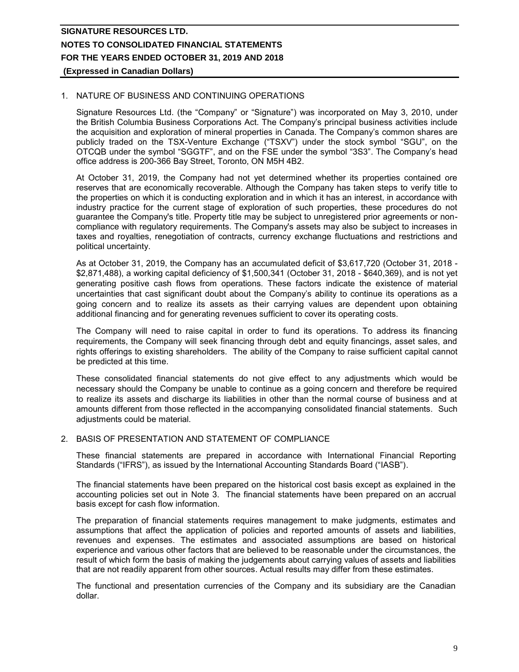## **(Expressed in Canadian Dollars)**

# 1. NATURE OF BUSINESS AND CONTINUING OPERATIONS

Signature Resources Ltd. (the "Company" or "Signature") was incorporated on May 3, 2010, under the British Columbia Business Corporations Act. The Company's principal business activities include the acquisition and exploration of mineral properties in Canada. The Company's common shares are publicly traded on the TSX-Venture Exchange ("TSXV") under the stock symbol "SGU", on the OTCQB under the symbol "SGGTF", and on the FSE under the symbol "3S3". The Company's head office address is 200-366 Bay Street, Toronto, ON M5H 4B2.

At October 31, 2019, the Company had not yet determined whether its properties contained ore reserves that are economically recoverable. Although the Company has taken steps to verify title to the properties on which it is conducting exploration and in which it has an interest, in accordance with industry practice for the current stage of exploration of such properties, these procedures do not guarantee the Company's title. Property title may be subject to unregistered prior agreements or noncompliance with regulatory requirements. The Company's assets may also be subject to increases in taxes and royalties, renegotiation of contracts, currency exchange fluctuations and restrictions and political uncertainty.

As at October 31, 2019, the Company has an accumulated deficit of \$3,617,720 (October 31, 2018 - \$2,871,488), a working capital deficiency of \$1,500,341 (October 31, 2018 - \$640,369), and is not yet generating positive cash flows from operations. These factors indicate the existence of material uncertainties that cast significant doubt about the Company's ability to continue its operations as a going concern and to realize its assets as their carrying values are dependent upon obtaining additional financing and for generating revenues sufficient to cover its operating costs.

The Company will need to raise capital in order to fund its operations. To address its financing requirements, the Company will seek financing through debt and equity financings, asset sales, and rights offerings to existing shareholders. The ability of the Company to raise sufficient capital cannot be predicted at this time.

These consolidated financial statements do not give effect to any adjustments which would be necessary should the Company be unable to continue as a going concern and therefore be required to realize its assets and discharge its liabilities in other than the normal course of business and at amounts different from those reflected in the accompanying consolidated financial statements. Such adjustments could be material.

## 2. BASIS OF PRESENTATION AND STATEMENT OF COMPLIANCE

These financial statements are prepared in accordance with International Financial Reporting Standards ("IFRS"), as issued by the International Accounting Standards Board ("IASB").

The financial statements have been prepared on the historical cost basis except as explained in the accounting policies set out in Note 3. The financial statements have been prepared on an accrual basis except for cash flow information.

The preparation of financial statements requires management to make judgments, estimates and assumptions that affect the application of policies and reported amounts of assets and liabilities, revenues and expenses. The estimates and associated assumptions are based on historical experience and various other factors that are believed to be reasonable under the circumstances, the result of which form the basis of making the judgements about carrying values of assets and liabilities that are not readily apparent from other sources. Actual results may differ from these estimates.

The functional and presentation currencies of the Company and its subsidiary are the Canadian dollar.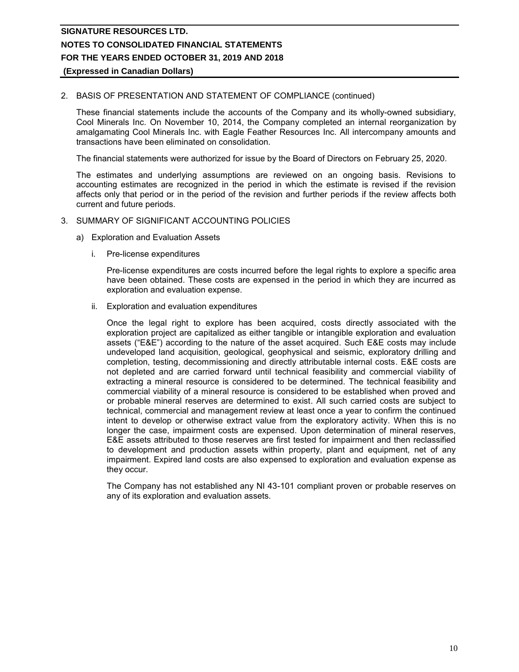# **(Expressed in Canadian Dollars)**

## 2. BASIS OF PRESENTATION AND STATEMENT OF COMPLIANCE (continued)

These financial statements include the accounts of the Company and its wholly-owned subsidiary, Cool Minerals Inc. On November 10, 2014, the Company completed an internal reorganization by amalgamating Cool Minerals Inc. with Eagle Feather Resources Inc. All intercompany amounts and transactions have been eliminated on consolidation.

The financial statements were authorized for issue by the Board of Directors on February 25, 2020.

The estimates and underlying assumptions are reviewed on an ongoing basis. Revisions to accounting estimates are recognized in the period in which the estimate is revised if the revision affects only that period or in the period of the revision and further periods if the review affects both current and future periods.

## 3. SUMMARY OF SIGNIFICANT ACCOUNTING POLICIES

- a) Exploration and Evaluation Assets
	- i. Pre-license expenditures

Pre-license expenditures are costs incurred before the legal rights to explore a specific area have been obtained. These costs are expensed in the period in which they are incurred as exploration and evaluation expense.

ii. Exploration and evaluation expenditures

Once the legal right to explore has been acquired, costs directly associated with the exploration project are capitalized as either tangible or intangible exploration and evaluation assets ("E&E") according to the nature of the asset acquired. Such E&E costs may include undeveloped land acquisition, geological, geophysical and seismic, exploratory drilling and completion, testing, decommissioning and directly attributable internal costs. E&E costs are not depleted and are carried forward until technical feasibility and commercial viability of extracting a mineral resource is considered to be determined. The technical feasibility and commercial viability of a mineral resource is considered to be established when proved and or probable mineral reserves are determined to exist. All such carried costs are subject to technical, commercial and management review at least once a year to confirm the continued intent to develop or otherwise extract value from the exploratory activity. When this is no longer the case, impairment costs are expensed. Upon determination of mineral reserves, E&E assets attributed to those reserves are first tested for impairment and then reclassified to development and production assets within property, plant and equipment, net of any impairment. Expired land costs are also expensed to exploration and evaluation expense as they occur.

The Company has not established any NI 43-101 compliant proven or probable reserves on any of its exploration and evaluation assets.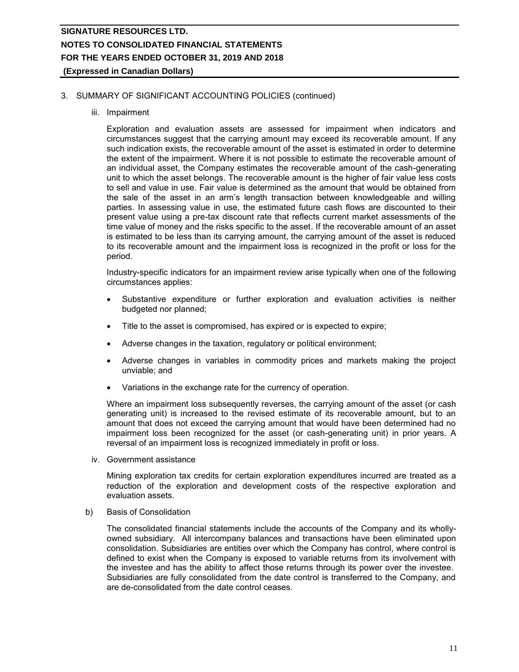# 3. SUMMARY OF SIGNIFICANT ACCOUNTING POLICIES (continued)

iii. Impairment

Exploration and evaluation assets are assessed for impairment when indicators and circumstances suggest that the carrying amount may exceed its recoverable amount. If any such indication exists, the recoverable amount of the asset is estimated in order to determine the extent of the impairment. Where it is not possible to estimate the recoverable amount of an individual asset, the Company estimates the recoverable amount of the cash-generating unit to which the asset belongs. The recoverable amount is the higher of fair value less costs to sell and value in use. Fair value is determined as the amount that would be obtained from the sale of the asset in an arm's length transaction between knowledgeable and willing parties. In assessing value in use, the estimated future cash flows are discounted to their present value using a pre-tax discount rate that reflects current market assessments of the time value of money and the risks specific to the asset. If the recoverable amount of an asset is estimated to be less than its carrying amount, the carrying amount of the asset is reduced to its recoverable amount and the impairment loss is recognized in the profit or loss for the period.

Industry-specific indicators for an impairment review arise typically when one of the following circumstances applies:

- Substantive expenditure or further exploration and evaluation activities is neither budgeted nor planned;
- Title to the asset is compromised, has expired or is expected to expire;
- Adverse changes in the taxation, regulatory or political environment;
- Adverse changes in variables in commodity prices and markets making the project unviable; and
- Variations in the exchange rate for the currency of operation.

Where an impairment loss subsequently reverses, the carrying amount of the asset (or cash generating unit) is increased to the revised estimate of its recoverable amount, but to an amount that does not exceed the carrying amount that would have been determined had no impairment loss been recognized for the asset (or cash-generating unit) in prior years. A reversal of an impairment loss is recognized immediately in profit or loss.

iv. Government assistance

Mining exploration tax credits for certain exploration expenditures incurred are treated as a reduction of the exploration and development costs of the respective exploration and evaluation assets.

b) Basis of Consolidation

The consolidated financial statements include the accounts of the Company and its whollyowned subsidiary. All intercompany balances and transactions have been eliminated upon consolidation. Subsidiaries are entities over which the Company has control, where control is defined to exist when the Company is exposed to variable returns from its involvement with the investee and has the ability to affect those returns through its power over the investee. Subsidiaries are fully consolidated from the date control is transferred to the Company, and are de-consolidated from the date control ceases.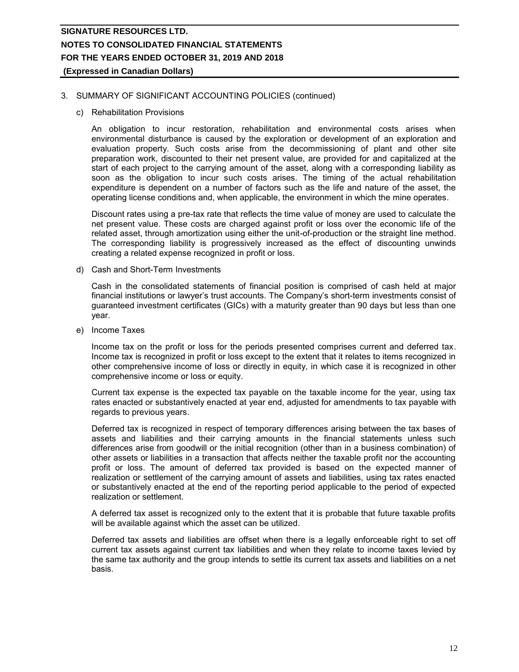## 3. SUMMARY OF SIGNIFICANT ACCOUNTING POLICIES (continued)

c) Rehabilitation Provisions

An obligation to incur restoration, rehabilitation and environmental costs arises when environmental disturbance is caused by the exploration or development of an exploration and evaluation property. Such costs arise from the decommissioning of plant and other site preparation work, discounted to their net present value, are provided for and capitalized at the start of each project to the carrying amount of the asset, along with a corresponding liability as soon as the obligation to incur such costs arises. The timing of the actual rehabilitation expenditure is dependent on a number of factors such as the life and nature of the asset, the operating license conditions and, when applicable, the environment in which the mine operates.

Discount rates using a pre-tax rate that reflects the time value of money are used to calculate the net present value. These costs are charged against profit or loss over the economic life of the related asset, through amortization using either the unit-of-production or the straight line method. The corresponding liability is progressively increased as the effect of discounting unwinds creating a related expense recognized in profit or loss.

d) Cash and Short-Term Investments

Cash in the consolidated statements of financial position is comprised of cash held at major financial institutions or lawyer's trust accounts. The Company's short-term investments consist of guaranteed investment certificates (GICs) with a maturity greater than 90 days but less than one year.

e) Income Taxes

Income tax on the profit or loss for the periods presented comprises current and deferred tax. Income tax is recognized in profit or loss except to the extent that it relates to items recognized in other comprehensive income of loss or directly in equity, in which case it is recognized in other comprehensive income or loss or equity.

Current tax expense is the expected tax payable on the taxable income for the year, using tax rates enacted or substantively enacted at year end, adjusted for amendments to tax payable with regards to previous years.

Deferred tax is recognized in respect of temporary differences arising between the tax bases of assets and liabilities and their carrying amounts in the financial statements unless such differences arise from goodwill or the initial recognition (other than in a business combination) of other assets or liabilities in a transaction that affects neither the taxable profit nor the accounting profit or loss. The amount of deferred tax provided is based on the expected manner of realization or settlement of the carrying amount of assets and liabilities, using tax rates enacted or substantively enacted at the end of the reporting period applicable to the period of expected realization or settlement.

A deferred tax asset is recognized only to the extent that it is probable that future taxable profits will be available against which the asset can be utilized.

Deferred tax assets and liabilities are offset when there is a legally enforceable right to set off current tax assets against current tax liabilities and when they relate to income taxes levied by the same tax authority and the group intends to settle its current tax assets and liabilities on a net basis.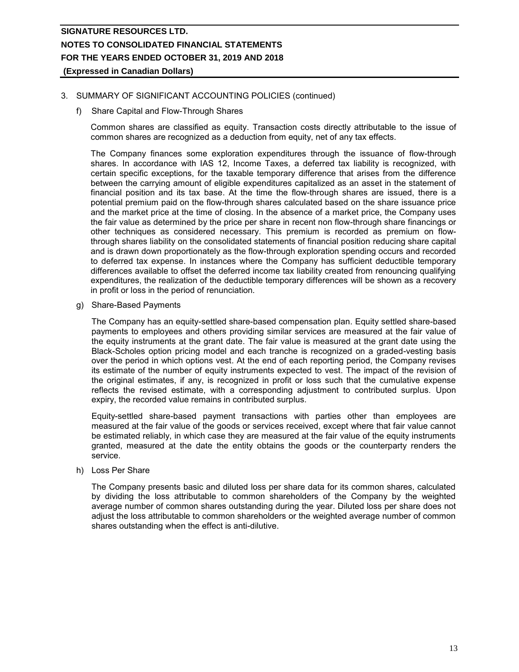# 3. SUMMARY OF SIGNIFICANT ACCOUNTING POLICIES (continued)

f) Share Capital and Flow-Through Shares

Common shares are classified as equity. Transaction costs directly attributable to the issue of common shares are recognized as a deduction from equity, net of any tax effects.

The Company finances some exploration expenditures through the issuance of flow-through shares. In accordance with IAS 12, Income Taxes, a deferred tax liability is recognized, with certain specific exceptions, for the taxable temporary difference that arises from the difference between the carrying amount of eligible expenditures capitalized as an asset in the statement of financial position and its tax base. At the time the flow-through shares are issued, there is a potential premium paid on the flow-through shares calculated based on the share issuance price and the market price at the time of closing. In the absence of a market price, the Company uses the fair value as determined by the price per share in recent non flow-through share financings or other techniques as considered necessary. This premium is recorded as premium on flowthrough shares liability on the consolidated statements of financial position reducing share capital and is drawn down proportionately as the flow-through exploration spending occurs and recorded to deferred tax expense. In instances where the Company has sufficient deductible temporary differences available to offset the deferred income tax liability created from renouncing qualifying expenditures, the realization of the deductible temporary differences will be shown as a recovery in profit or loss in the period of renunciation.

g) Share-Based Payments

The Company has an equity-settled share-based compensation plan. Equity settled share-based payments to employees and others providing similar services are measured at the fair value of the equity instruments at the grant date. The fair value is measured at the grant date using the Black-Scholes option pricing model and each tranche is recognized on a graded-vesting basis over the period in which options vest. At the end of each reporting period, the Company revises its estimate of the number of equity instruments expected to vest. The impact of the revision of the original estimates, if any, is recognized in profit or loss such that the cumulative expense reflects the revised estimate, with a corresponding adjustment to contributed surplus. Upon expiry, the recorded value remains in contributed surplus.

Equity-settled share-based payment transactions with parties other than employees are measured at the fair value of the goods or services received, except where that fair value cannot be estimated reliably, in which case they are measured at the fair value of the equity instruments granted, measured at the date the entity obtains the goods or the counterparty renders the service.

h) Loss Per Share

The Company presents basic and diluted loss per share data for its common shares, calculated by dividing the loss attributable to common shareholders of the Company by the weighted average number of common shares outstanding during the year. Diluted loss per share does not adjust the loss attributable to common shareholders or the weighted average number of common shares outstanding when the effect is anti-dilutive.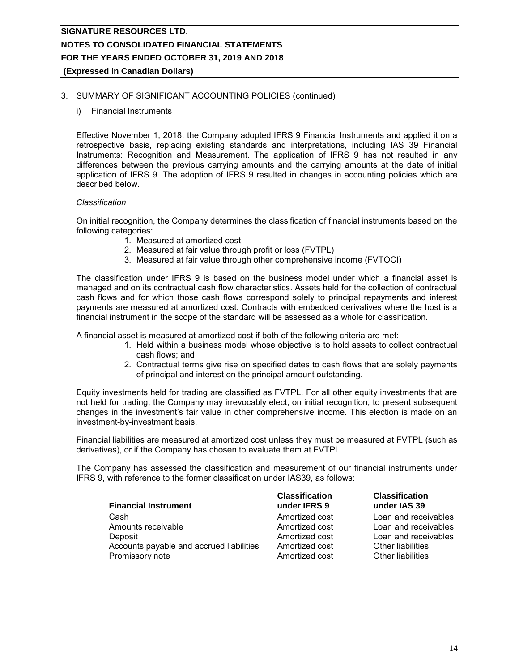# 3. SUMMARY OF SIGNIFICANT ACCOUNTING POLICIES (continued)

i) Financial Instruments

Effective November 1, 2018, the Company adopted IFRS 9 Financial Instruments and applied it on a retrospective basis, replacing existing standards and interpretations, including IAS 39 Financial Instruments: Recognition and Measurement. The application of IFRS 9 has not resulted in any differences between the previous carrying amounts and the carrying amounts at the date of initial application of IFRS 9. The adoption of IFRS 9 resulted in changes in accounting policies which are described below.

# *Classification*

On initial recognition, the Company determines the classification of financial instruments based on the following categories:

- 1. Measured at amortized cost
- 2. Measured at fair value through profit or loss (FVTPL)
- 3. Measured at fair value through other comprehensive income (FVTOCI)

The classification under IFRS 9 is based on the business model under which a financial asset is managed and on its contractual cash flow characteristics. Assets held for the collection of contractual cash flows and for which those cash flows correspond solely to principal repayments and interest payments are measured at amortized cost. Contracts with embedded derivatives where the host is a financial instrument in the scope of the standard will be assessed as a whole for classification.

A financial asset is measured at amortized cost if both of the following criteria are met:

- 1. Held within a business model whose objective is to hold assets to collect contractual cash flows; and
- 2. Contractual terms give rise on specified dates to cash flows that are solely payments of principal and interest on the principal amount outstanding.

Equity investments held for trading are classified as FVTPL. For all other equity investments that are not held for trading, the Company may irrevocably elect, on initial recognition, to present subsequent changes in the investment's fair value in other comprehensive income. This election is made on an investment-by-investment basis.

Financial liabilities are measured at amortized cost unless they must be measured at FVTPL (such as derivatives), or if the Company has chosen to evaluate them at FVTPL.

The Company has assessed the classification and measurement of our financial instruments under IFRS 9, with reference to the former classification under IAS39, as follows:

| <b>Financial Instrument</b>              | <b>Classification</b><br>under IFRS 9 | <b>Classification</b><br>under IAS 39 |
|------------------------------------------|---------------------------------------|---------------------------------------|
| Cash                                     | Amortized cost                        | Loan and receivables                  |
| Amounts receivable                       | Amortized cost                        | Loan and receivables                  |
| Deposit                                  | Amortized cost                        | Loan and receivables                  |
| Accounts payable and accrued liabilities | Amortized cost                        | <b>Other liabilities</b>              |
| Promissory note                          | Amortized cost                        | Other liabilities                     |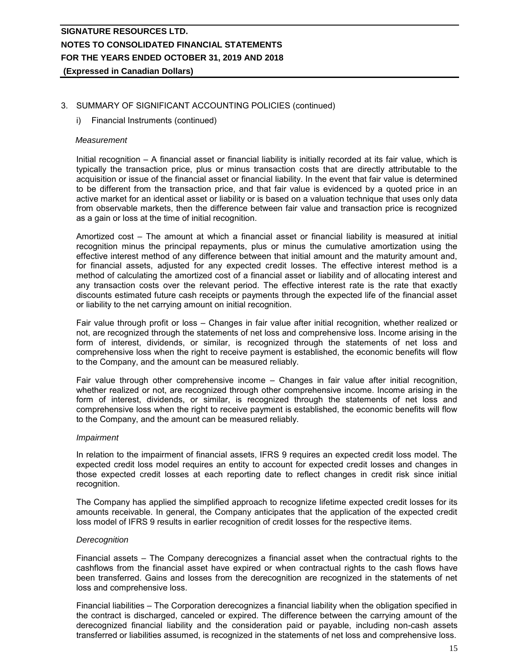# 3. SUMMARY OF SIGNIFICANT ACCOUNTING POLICIES (continued)

#### i) Financial Instruments (continued)

#### *Measurement*

Initial recognition – A financial asset or financial liability is initially recorded at its fair value, which is typically the transaction price, plus or minus transaction costs that are directly attributable to the acquisition or issue of the financial asset or financial liability. In the event that fair value is determined to be different from the transaction price, and that fair value is evidenced by a quoted price in an active market for an identical asset or liability or is based on a valuation technique that uses only data from observable markets, then the difference between fair value and transaction price is recognized as a gain or loss at the time of initial recognition.

Amortized cost – The amount at which a financial asset or financial liability is measured at initial recognition minus the principal repayments, plus or minus the cumulative amortization using the effective interest method of any difference between that initial amount and the maturity amount and, for financial assets, adjusted for any expected credit losses. The effective interest method is a method of calculating the amortized cost of a financial asset or liability and of allocating interest and any transaction costs over the relevant period. The effective interest rate is the rate that exactly discounts estimated future cash receipts or payments through the expected life of the financial asset or liability to the net carrying amount on initial recognition.

Fair value through profit or loss – Changes in fair value after initial recognition, whether realized or not, are recognized through the statements of net loss and comprehensive loss. Income arising in the form of interest, dividends, or similar, is recognized through the statements of net loss and comprehensive loss when the right to receive payment is established, the economic benefits will flow to the Company, and the amount can be measured reliably.

Fair value through other comprehensive income – Changes in fair value after initial recognition, whether realized or not, are recognized through other comprehensive income. Income arising in the form of interest, dividends, or similar, is recognized through the statements of net loss and comprehensive loss when the right to receive payment is established, the economic benefits will flow to the Company, and the amount can be measured reliably.

#### *Impairment*

In relation to the impairment of financial assets, IFRS 9 requires an expected credit loss model. The expected credit loss model requires an entity to account for expected credit losses and changes in those expected credit losses at each reporting date to reflect changes in credit risk since initial recognition.

The Company has applied the simplified approach to recognize lifetime expected credit losses for its amounts receivable. In general, the Company anticipates that the application of the expected credit loss model of IFRS 9 results in earlier recognition of credit losses for the respective items.

#### *Derecognition*

Financial assets – The Company derecognizes a financial asset when the contractual rights to the cashflows from the financial asset have expired or when contractual rights to the cash flows have been transferred. Gains and losses from the derecognition are recognized in the statements of net loss and comprehensive loss.

Financial liabilities – The Corporation derecognizes a financial liability when the obligation specified in the contract is discharged, canceled or expired. The difference between the carrying amount of the derecognized financial liability and the consideration paid or payable, including non-cash assets transferred or liabilities assumed, is recognized in the statements of net loss and comprehensive loss.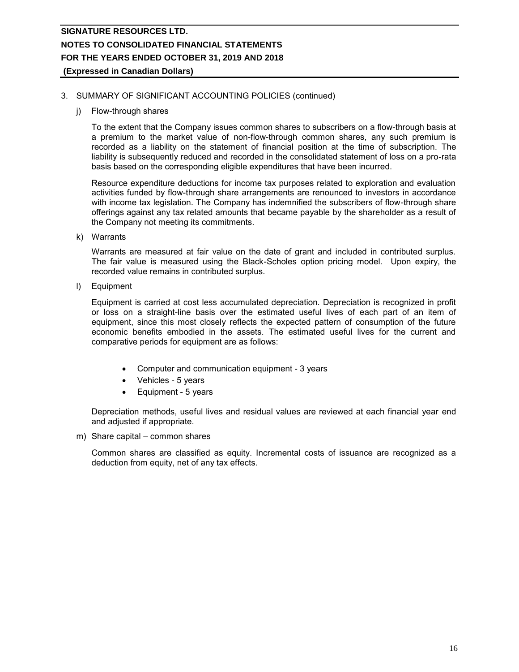# 3. SUMMARY OF SIGNIFICANT ACCOUNTING POLICIES (continued)

j) Flow-through shares

To the extent that the Company issues common shares to subscribers on a flow-through basis at a premium to the market value of non-flow-through common shares, any such premium is recorded as a liability on the statement of financial position at the time of subscription. The liability is subsequently reduced and recorded in the consolidated statement of loss on a pro-rata basis based on the corresponding eligible expenditures that have been incurred.

Resource expenditure deductions for income tax purposes related to exploration and evaluation activities funded by flow-through share arrangements are renounced to investors in accordance with income tax legislation. The Company has indemnified the subscribers of flow-through share offerings against any tax related amounts that became payable by the shareholder as a result of the Company not meeting its commitments.

k) Warrants

Warrants are measured at fair value on the date of grant and included in contributed surplus. The fair value is measured using the Black-Scholes option pricing model. Upon expiry, the recorded value remains in contributed surplus.

l) Equipment

Equipment is carried at cost less accumulated depreciation. Depreciation is recognized in profit or loss on a straight-line basis over the estimated useful lives of each part of an item of equipment, since this most closely reflects the expected pattern of consumption of the future economic benefits embodied in the assets. The estimated useful lives for the current and comparative periods for equipment are as follows:

- Computer and communication equipment 3 years
- Vehicles 5 years
- Equipment 5 years

Depreciation methods, useful lives and residual values are reviewed at each financial year end and adjusted if appropriate.

m) Share capital – common shares

Common shares are classified as equity. Incremental costs of issuance are recognized as a deduction from equity, net of any tax effects.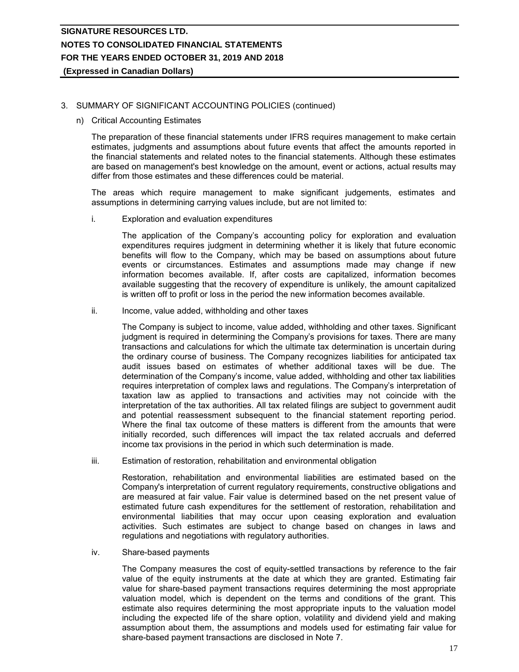# **(Expressed in Canadian Dollars)**

## 3. SUMMARY OF SIGNIFICANT ACCOUNTING POLICIES (continued)

#### n) Critical Accounting Estimates

The preparation of these financial statements under IFRS requires management to make certain estimates, judgments and assumptions about future events that affect the amounts reported in the financial statements and related notes to the financial statements. Although these estimates are based on management's best knowledge on the amount, event or actions, actual results may differ from those estimates and these differences could be material.

The areas which require management to make significant judgements, estimates and assumptions in determining carrying values include, but are not limited to:

i. Exploration and evaluation expenditures

The application of the Company's accounting policy for exploration and evaluation expenditures requires judgment in determining whether it is likely that future economic benefits will flow to the Company, which may be based on assumptions about future events or circumstances. Estimates and assumptions made may change if new information becomes available. If, after costs are capitalized, information becomes available suggesting that the recovery of expenditure is unlikely, the amount capitalized is written off to profit or loss in the period the new information becomes available.

ii. Income, value added, withholding and other taxes

The Company is subject to income, value added, withholding and other taxes. Significant judgment is required in determining the Company's provisions for taxes. There are many transactions and calculations for which the ultimate tax determination is uncertain during the ordinary course of business. The Company recognizes liabilities for anticipated tax audit issues based on estimates of whether additional taxes will be due. The determination of the Company's income, value added, withholding and other tax liabilities requires interpretation of complex laws and regulations. The Company's interpretation of taxation law as applied to transactions and activities may not coincide with the interpretation of the tax authorities. All tax related filings are subject to government audit and potential reassessment subsequent to the financial statement reporting period. Where the final tax outcome of these matters is different from the amounts that were initially recorded, such differences will impact the tax related accruals and deferred income tax provisions in the period in which such determination is made.

iii. Estimation of restoration, rehabilitation and environmental obligation

Restoration, rehabilitation and environmental liabilities are estimated based on the Company's interpretation of current regulatory requirements, constructive obligations and are measured at fair value. Fair value is determined based on the net present value of estimated future cash expenditures for the settlement of restoration, rehabilitation and environmental liabilities that may occur upon ceasing exploration and evaluation activities. Such estimates are subject to change based on changes in laws and regulations and negotiations with regulatory authorities.

iv. Share-based payments

The Company measures the cost of equity-settled transactions by reference to the fair value of the equity instruments at the date at which they are granted. Estimating fair value for share-based payment transactions requires determining the most appropriate valuation model, which is dependent on the terms and conditions of the grant. This estimate also requires determining the most appropriate inputs to the valuation model including the expected life of the share option, volatility and dividend yield and making assumption about them, the assumptions and models used for estimating fair value for share-based payment transactions are disclosed in Note 7.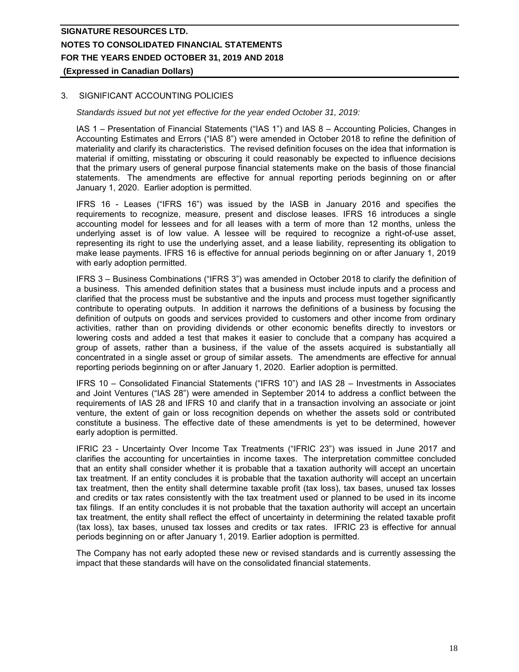# 3. SIGNIFICANT ACCOUNTING POLICIES

*Standards issued but not yet effective for the year ended October 31, 2019:*

IAS 1 – Presentation of Financial Statements ("IAS 1") and IAS 8 – Accounting Policies, Changes in Accounting Estimates and Errors ("IAS 8") were amended in October 2018 to refine the definition of materiality and clarify its characteristics. The revised definition focuses on the idea that information is material if omitting, misstating or obscuring it could reasonably be expected to influence decisions that the primary users of general purpose financial statements make on the basis of those financial statements. The amendments are effective for annual reporting periods beginning on or after January 1, 2020. Earlier adoption is permitted.

IFRS 16 - Leases ("IFRS 16") was issued by the IASB in January 2016 and specifies the requirements to recognize, measure, present and disclose leases. IFRS 16 introduces a single accounting model for lessees and for all leases with a term of more than 12 months, unless the underlying asset is of low value. A lessee will be required to recognize a right-of-use asset, representing its right to use the underlying asset, and a lease liability, representing its obligation to make lease payments. IFRS 16 is effective for annual periods beginning on or after January 1, 2019 with early adoption permitted.

IFRS 3 – Business Combinations ("IFRS 3") was amended in October 2018 to clarify the definition of a business. This amended definition states that a business must include inputs and a process and clarified that the process must be substantive and the inputs and process must together significantly contribute to operating outputs. In addition it narrows the definitions of a business by focusing the definition of outputs on goods and services provided to customers and other income from ordinary activities, rather than on providing dividends or other economic benefits directly to investors or lowering costs and added a test that makes it easier to conclude that a company has acquired a group of assets, rather than a business, if the value of the assets acquired is substantially all concentrated in a single asset or group of similar assets. The amendments are effective for annual reporting periods beginning on or after January 1, 2020. Earlier adoption is permitted.

IFRS 10 – Consolidated Financial Statements ("IFRS 10") and IAS 28 – Investments in Associates and Joint Ventures ("IAS 28") were amended in September 2014 to address a conflict between the requirements of IAS 28 and IFRS 10 and clarify that in a transaction involving an associate or joint venture, the extent of gain or loss recognition depends on whether the assets sold or contributed constitute a business. The effective date of these amendments is yet to be determined, however early adoption is permitted.

IFRIC 23 - Uncertainty Over Income Tax Treatments ("IFRIC 23") was issued in June 2017 and clarifies the accounting for uncertainties in income taxes. The interpretation committee concluded that an entity shall consider whether it is probable that a taxation authority will accept an uncertain tax treatment. If an entity concludes it is probable that the taxation authority will accept an uncertain tax treatment, then the entity shall determine taxable profit (tax loss), tax bases, unused tax losses and credits or tax rates consistently with the tax treatment used or planned to be used in its income tax filings. If an entity concludes it is not probable that the taxation authority will accept an uncertain tax treatment, the entity shall reflect the effect of uncertainty in determining the related taxable profit (tax loss), tax bases, unused tax losses and credits or tax rates. IFRIC 23 is effective for annual periods beginning on or after January 1, 2019. Earlier adoption is permitted.

The Company has not early adopted these new or revised standards and is currently assessing the impact that these standards will have on the consolidated financial statements.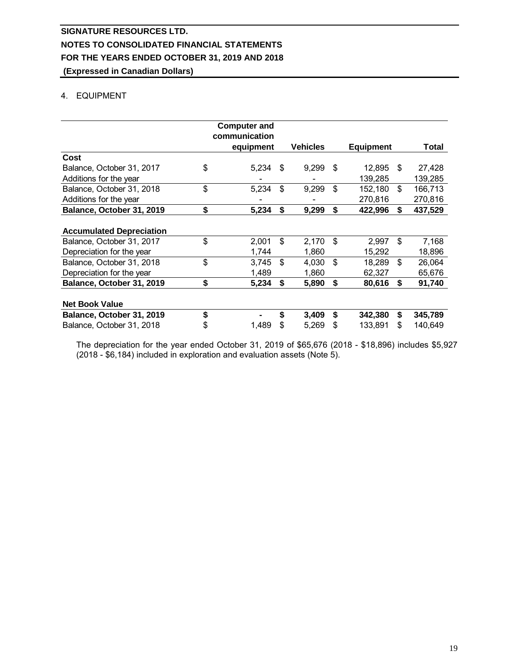# 4. EQUIPMENT

|                                 | <b>Computer and</b><br>communication |    |                 |                |                  |               |
|---------------------------------|--------------------------------------|----|-----------------|----------------|------------------|---------------|
|                                 |                                      |    |                 |                |                  |               |
|                                 | equipment                            |    | <b>Vehicles</b> |                | <b>Equipment</b> | Total         |
| Cost                            |                                      |    |                 |                |                  |               |
| Balance, October 31, 2017       | \$<br>5,234                          | \$ | 9,299           | \$             | 12.895           | \$<br>27,428  |
| Additions for the year          |                                      |    |                 |                | 139,285          | 139,285       |
| Balance, October 31, 2018       | \$<br>5,234                          | \$ | 9,299           | \$             | 152,180          | \$<br>166,713 |
| Additions for the year          |                                      |    |                 |                | 270,816          | 270,816       |
| Balance, October 31, 2019       | \$<br>5,234                          | \$ | 9,299           | \$             | 422,996          | \$<br>437,529 |
|                                 |                                      |    |                 |                |                  |               |
| <b>Accumulated Depreciation</b> |                                      |    |                 |                |                  |               |
| Balance, October 31, 2017       | \$<br>2,001                          | \$ | 2,170           | \$             | 2,997            | \$<br>7,168   |
| Depreciation for the year       | 1,744                                |    | 1,860           |                | 15,292           | 18,896        |
| Balance, October 31, 2018       | \$<br>3,745                          | \$ | 4,030           | $\mathfrak{L}$ | 18,289           | \$<br>26,064  |
| Depreciation for the year       | 1,489                                |    | 1,860           |                | 62,327           | 65,676        |
| Balance, October 31, 2019       | \$<br>5,234                          | \$ | 5,890           | \$             | 80,616           | \$<br>91,740  |
|                                 |                                      |    |                 |                |                  |               |
| <b>Net Book Value</b>           |                                      |    |                 |                |                  |               |
| Balance, October 31, 2019       | \$                                   | \$ | 3,409           | \$             | 342,380          | \$<br>345,789 |
| Balance, October 31, 2018       | \$<br>1,489                          | S  | 5,269           | \$             | 133,891          | \$<br>140,649 |
|                                 |                                      |    |                 |                |                  |               |

The depreciation for the year ended October 31, 2019 of \$65,676 (2018 - \$18,896) includes \$5,927 (2018 - \$6,184) included in exploration and evaluation assets (Note 5).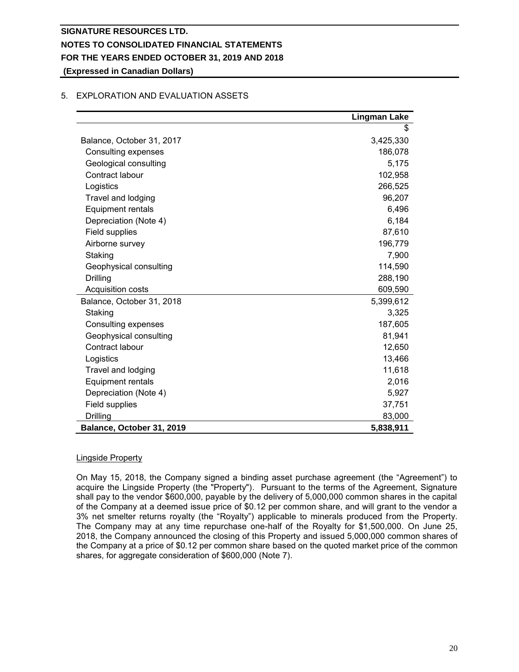**(Expressed in Canadian Dollars)**

# 5. EXPLORATION AND EVALUATION ASSETS

|                            | <b>Lingman Lake</b> |
|----------------------------|---------------------|
|                            | \$                  |
| Balance, October 31, 2017  | 3,425,330           |
| <b>Consulting expenses</b> | 186,078             |
| Geological consulting      | 5,175               |
| Contract labour            | 102,958             |
| Logistics                  | 266,525             |
| Travel and lodging         | 96,207              |
| <b>Equipment rentals</b>   | 6,496               |
| Depreciation (Note 4)      | 6,184               |
| Field supplies             | 87,610              |
| Airborne survey            | 196,779             |
| Staking                    | 7,900               |
| Geophysical consulting     | 114,590             |
| Drilling                   | 288,190             |
| Acquisition costs          | 609,590             |
| Balance, October 31, 2018  | 5,399,612           |
| Staking                    | 3,325               |
| Consulting expenses        | 187,605             |
| Geophysical consulting     | 81,941              |
| Contract labour            | 12,650              |
| Logistics                  | 13,466              |
| Travel and lodging         | 11,618              |
| <b>Equipment rentals</b>   | 2,016               |
| Depreciation (Note 4)      | 5,927               |
| Field supplies             | 37,751              |
| Drilling                   | 83,000              |
| Balance, October 31, 2019  | 5,838,911           |

# Lingside Property

On May 15, 2018, the Company signed a binding asset purchase agreement (the "Agreement") to acquire the Lingside Property (the "Property"). Pursuant to the terms of the Agreement, Signature shall pay to the vendor \$600,000, payable by the delivery of 5,000,000 common shares in the capital of the Company at a deemed issue price of \$0.12 per common share, and will grant to the vendor a 3% net smelter returns royalty (the "Royalty") applicable to minerals produced from the Property. The Company may at any time repurchase one-half of the Royalty for \$1,500,000. On June 25, 2018, the Company announced the closing of this Property and issued 5,000,000 common shares of the Company at a price of \$0.12 per common share based on the quoted market price of the common shares, for aggregate consideration of \$600,000 (Note 7).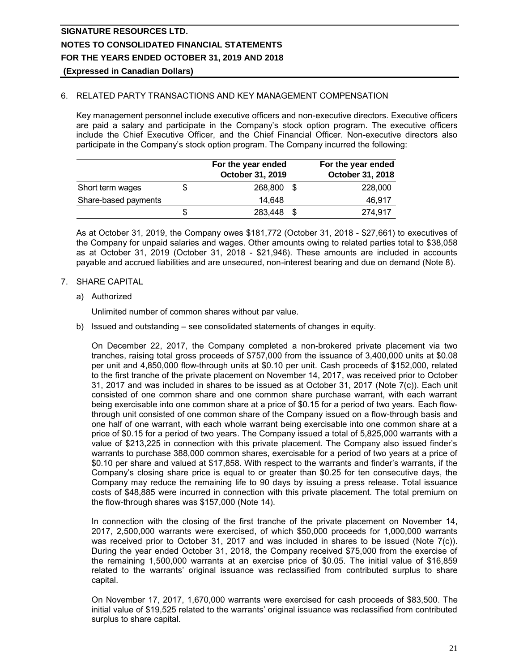# 6. RELATED PARTY TRANSACTIONS AND KEY MANAGEMENT COMPENSATION

Key management personnel include executive officers and non-executive directors. Executive officers are paid a salary and participate in the Company's stock option program. The executive officers include the Chief Executive Officer, and the Chief Financial Officer. Non-executive directors also participate in the Company's stock option program. The Company incurred the following:

|                      | For the year ended<br>October 31, 2019 |      | For the year ended<br>October 31, 2018 |
|----------------------|----------------------------------------|------|----------------------------------------|
| Short term wages     | 268,800 \$                             |      | 228,000                                |
| Share-based payments | 14.648                                 |      | 46,917                                 |
|                      | \$<br>283,448                          | - \$ | 274,917                                |

As at October 31, 2019, the Company owes \$181,772 (October 31, 2018 - \$27,661) to executives of the Company for unpaid salaries and wages. Other amounts owing to related parties total to \$38,058 as at October 31, 2019 (October 31, 2018 - \$21,946). These amounts are included in accounts payable and accrued liabilities and are unsecured, non-interest bearing and due on demand (Note 8).

# 7. SHARE CAPITAL

a) Authorized

Unlimited number of common shares without par value.

b) Issued and outstanding – see consolidated statements of changes in equity.

On December 22, 2017, the Company completed a non-brokered private placement via two tranches, raising total gross proceeds of \$757,000 from the issuance of 3,400,000 units at \$0.08 per unit and 4,850,000 flow-through units at \$0.10 per unit. Cash proceeds of \$152,000, related to the first tranche of the private placement on November 14, 2017, was received prior to October 31, 2017 and was included in shares to be issued as at October 31, 2017 (Note 7(c)). Each unit consisted of one common share and one common share purchase warrant, with each warrant being exercisable into one common share at a price of \$0.15 for a period of two years. Each flowthrough unit consisted of one common share of the Company issued on a flow-through basis and one half of one warrant, with each whole warrant being exercisable into one common share at a price of \$0.15 for a period of two years. The Company issued a total of 5,825,000 warrants with a value of \$213,225 in connection with this private placement. The Company also issued finder's warrants to purchase 388,000 common shares, exercisable for a period of two years at a price of \$0.10 per share and valued at \$17,858. With respect to the warrants and finder's warrants, if the Company's closing share price is equal to or greater than \$0.25 for ten consecutive days, the Company may reduce the remaining life to 90 days by issuing a press release. Total issuance costs of \$48,885 were incurred in connection with this private placement. The total premium on the flow-through shares was \$157,000 (Note 14).

In connection with the closing of the first tranche of the private placement on November 14, 2017, 2,500,000 warrants were exercised, of which \$50,000 proceeds for 1,000,000 warrants was received prior to October 31, 2017 and was included in shares to be issued (Note 7(c)). During the year ended October 31, 2018, the Company received \$75,000 from the exercise of the remaining 1,500,000 warrants at an exercise price of \$0.05. The initial value of \$16,859 related to the warrants' original issuance was reclassified from contributed surplus to share capital.

On November 17, 2017, 1,670,000 warrants were exercised for cash proceeds of \$83,500. The initial value of \$19,525 related to the warrants' original issuance was reclassified from contributed surplus to share capital.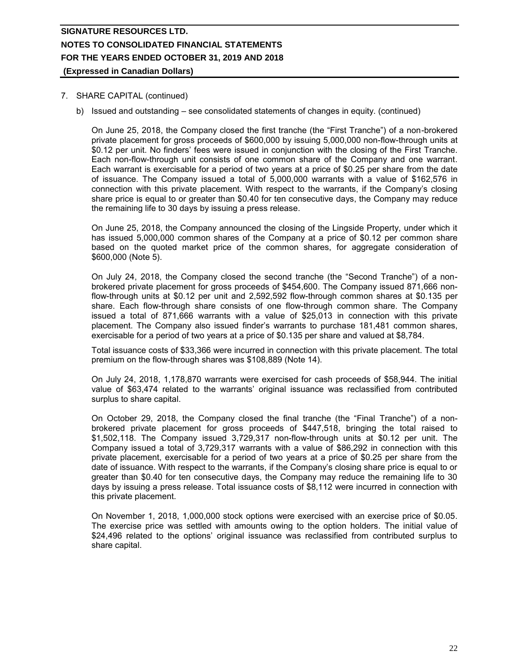## 7. SHARE CAPITAL (continued)

b) Issued and outstanding – see consolidated statements of changes in equity. (continued)

On June 25, 2018, the Company closed the first tranche (the "First Tranche") of a non-brokered private placement for gross proceeds of \$600,000 by issuing 5,000,000 non-flow-through units at \$0.12 per unit. No finders' fees were issued in conjunction with the closing of the First Tranche. Each non-flow-through unit consists of one common share of the Company and one warrant. Each warrant is exercisable for a period of two years at a price of \$0.25 per share from the date of issuance. The Company issued a total of 5,000,000 warrants with a value of \$162,576 in connection with this private placement. With respect to the warrants, if the Company's closing share price is equal to or greater than \$0.40 for ten consecutive days, the Company may reduce the remaining life to 30 days by issuing a press release.

On June 25, 2018, the Company announced the closing of the Lingside Property, under which it has issued 5,000,000 common shares of the Company at a price of \$0.12 per common share based on the quoted market price of the common shares, for aggregate consideration of \$600,000 (Note 5).

On July 24, 2018, the Company closed the second tranche (the "Second Tranche") of a nonbrokered private placement for gross proceeds of \$454,600. The Company issued 871,666 nonflow-through units at \$0.12 per unit and 2,592,592 flow-through common shares at \$0.135 per share. Each flow-through share consists of one flow-through common share. The Company issued a total of 871,666 warrants with a value of \$25,013 in connection with this private placement. The Company also issued finder's warrants to purchase 181,481 common shares, exercisable for a period of two years at a price of \$0.135 per share and valued at \$8,784.

Total issuance costs of \$33,366 were incurred in connection with this private placement. The total premium on the flow-through shares was \$108,889 (Note 14).

On July 24, 2018, 1,178,870 warrants were exercised for cash proceeds of \$58,944. The initial value of \$63,474 related to the warrants' original issuance was reclassified from contributed surplus to share capital.

On October 29, 2018, the Company closed the final tranche (the "Final Tranche") of a nonbrokered private placement for gross proceeds of \$447,518, bringing the total raised to \$1,502,118. The Company issued 3,729,317 non-flow-through units at \$0.12 per unit. The Company issued a total of 3,729,317 warrants with a value of \$86,292 in connection with this private placement, exercisable for a period of two years at a price of \$0.25 per share from the date of issuance. With respect to the warrants, if the Company's closing share price is equal to or greater than \$0.40 for ten consecutive days, the Company may reduce the remaining life to 30 days by issuing a press release. Total issuance costs of \$8,112 were incurred in connection with this private placement.

On November 1, 2018, 1,000,000 stock options were exercised with an exercise price of \$0.05. The exercise price was settled with amounts owing to the option holders. The initial value of \$24,496 related to the options' original issuance was reclassified from contributed surplus to share capital.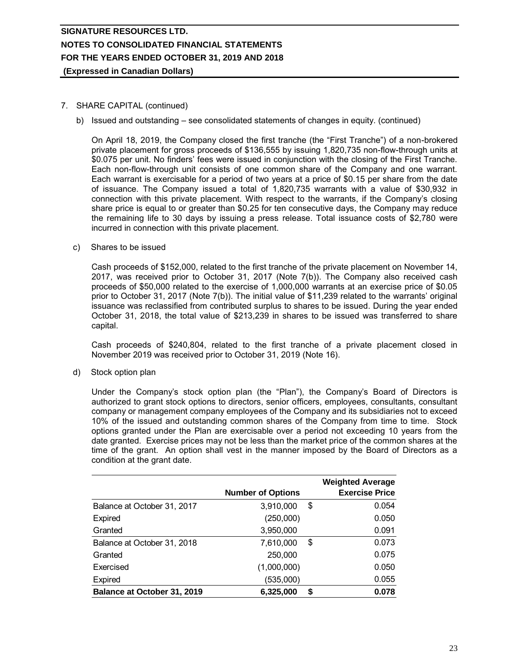**(Expressed in Canadian Dollars)**

# 7. SHARE CAPITAL (continued)

b) Issued and outstanding – see consolidated statements of changes in equity. (continued)

On April 18, 2019, the Company closed the first tranche (the "First Tranche") of a non-brokered private placement for gross proceeds of \$136,555 by issuing 1,820,735 non-flow-through units at \$0.075 per unit. No finders' fees were issued in conjunction with the closing of the First Tranche. Each non-flow-through unit consists of one common share of the Company and one warrant. Each warrant is exercisable for a period of two years at a price of \$0.15 per share from the date of issuance. The Company issued a total of 1,820,735 warrants with a value of \$30,932 in connection with this private placement. With respect to the warrants, if the Company's closing share price is equal to or greater than \$0.25 for ten consecutive days, the Company may reduce the remaining life to 30 days by issuing a press release. Total issuance costs of \$2,780 were incurred in connection with this private placement.

c) Shares to be issued

Cash proceeds of \$152,000, related to the first tranche of the private placement on November 14, 2017, was received prior to October 31, 2017 (Note 7(b)). The Company also received cash proceeds of \$50,000 related to the exercise of 1,000,000 warrants at an exercise price of \$0.05 prior to October 31, 2017 (Note 7(b)). The initial value of \$11,239 related to the warrants' original issuance was reclassified from contributed surplus to shares to be issued. During the year ended October 31, 2018, the total value of \$213,239 in shares to be issued was transferred to share capital.

Cash proceeds of \$240,804, related to the first tranche of a private placement closed in November 2019 was received prior to October 31, 2019 (Note 16).

d) Stock option plan

Under the Company's stock option plan (the "Plan"), the Company's Board of Directors is authorized to grant stock options to directors, senior officers, employees, consultants, consultant company or management company employees of the Company and its subsidiaries not to exceed 10% of the issued and outstanding common shares of the Company from time to time. Stock options granted under the Plan are exercisable over a period not exceeding 10 years from the date granted. Exercise prices may not be less than the market price of the common shares at the time of the grant. An option shall vest in the manner imposed by the Board of Directors as a condition at the grant date.

|                                    | <b>Number of Options</b> |    | <b>Weighted Average</b><br><b>Exercise Price</b> |
|------------------------------------|--------------------------|----|--------------------------------------------------|
| Balance at October 31, 2017        | 3,910,000                | \$ | 0.054                                            |
| Expired                            | (250,000)                |    | 0.050                                            |
| Granted                            | 3,950,000                |    | 0.091                                            |
| Balance at October 31, 2018        | 7,610,000                | \$ | 0.073                                            |
| Granted                            | 250,000                  |    | 0.075                                            |
| Exercised                          | (1,000,000)              |    | 0.050                                            |
| Expired                            | (535,000)                |    | 0.055                                            |
| <b>Balance at October 31, 2019</b> | 6,325,000                | S  | 0.078                                            |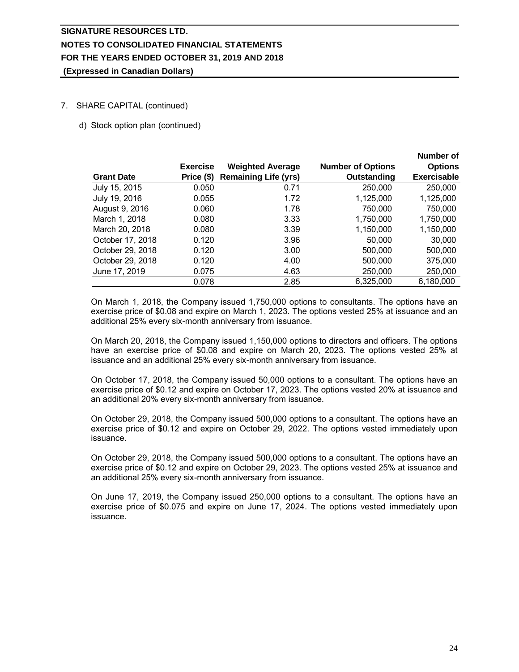# 7. SHARE CAPITAL (continued)

d) Stock option plan (continued)

|                   | <b>Exercise</b> | <b>Weighted Average</b>     | <b>Number of Options</b> | Number of<br><b>Options</b> |
|-------------------|-----------------|-----------------------------|--------------------------|-----------------------------|
| <b>Grant Date</b> | Price (\$)      | <b>Remaining Life (yrs)</b> | Outstanding              | <b>Exercisable</b>          |
| July 15, 2015     | 0.050           | 0.71                        | 250,000                  | 250,000                     |
| July 19, 2016     | 0.055           | 1.72                        | 1,125,000                | 1,125,000                   |
| August 9, 2016    | 0.060           | 1.78                        | 750,000                  | 750,000                     |
| March 1, 2018     | 0.080           | 3.33                        | 1,750,000                | 1,750,000                   |
| March 20, 2018    | 0.080           | 3.39                        | 1,150,000                | 1,150,000                   |
| October 17, 2018  | 0.120           | 3.96                        | 50,000                   | 30,000                      |
| October 29, 2018  | 0.120           | 3.00                        | 500,000                  | 500,000                     |
| October 29, 2018  | 0.120           | 4.00                        | 500,000                  | 375,000                     |
| June 17, 2019     | 0.075           | 4.63                        | 250,000                  | 250,000                     |
|                   | 0.078           | 2.85                        | 6,325,000                | 6,180,000                   |

On March 1, 2018, the Company issued 1,750,000 options to consultants. The options have an exercise price of \$0.08 and expire on March 1, 2023. The options vested 25% at issuance and an additional 25% every six-month anniversary from issuance.

On March 20, 2018, the Company issued 1,150,000 options to directors and officers. The options have an exercise price of \$0.08 and expire on March 20, 2023. The options vested 25% at issuance and an additional 25% every six-month anniversary from issuance.

On October 17, 2018, the Company issued 50,000 options to a consultant. The options have an exercise price of \$0.12 and expire on October 17, 2023. The options vested 20% at issuance and an additional 20% every six-month anniversary from issuance.

On October 29, 2018, the Company issued 500,000 options to a consultant. The options have an exercise price of \$0.12 and expire on October 29, 2022. The options vested immediately upon issuance.

On October 29, 2018, the Company issued 500,000 options to a consultant. The options have an exercise price of \$0.12 and expire on October 29, 2023. The options vested 25% at issuance and an additional 25% every six-month anniversary from issuance.

On June 17, 2019, the Company issued 250,000 options to a consultant. The options have an exercise price of \$0.075 and expire on June 17, 2024. The options vested immediately upon issuance.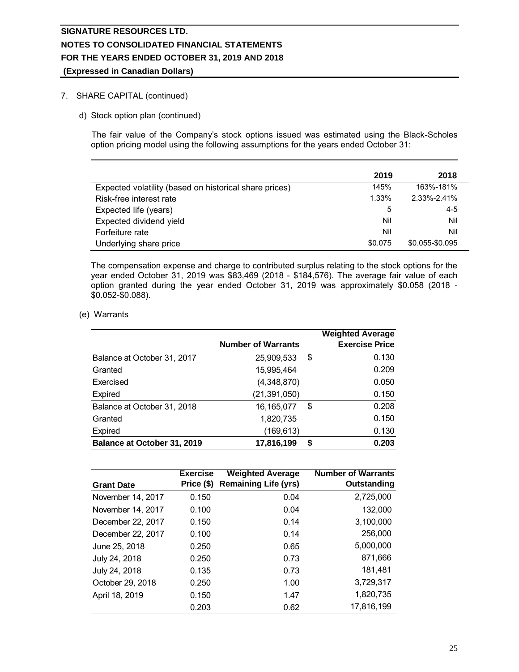# 7. SHARE CAPITAL (continued)

d) Stock option plan (continued)

The fair value of the Company's stock options issued was estimated using the Black-Scholes option pricing model using the following assumptions for the years ended October 31:

|                                                        | 2019    | 2018            |
|--------------------------------------------------------|---------|-----------------|
| Expected volatility (based on historical share prices) | 145%    | 163%-181%       |
| Risk-free interest rate                                | 1.33%   | 2.33%-2.41%     |
| Expected life (years)                                  | 5       | $4 - 5$         |
| Expected dividend yield                                | Nil     | Nil             |
| Forfeiture rate                                        | Nil     | Nil             |
| Underlying share price                                 | \$0.075 | \$0.055-\$0.095 |

The compensation expense and charge to contributed surplus relating to the stock options for the year ended October 31, 2019 was \$83,469 (2018 - \$184,576). The average fair value of each option granted during the year ended October 31, 2019 was approximately \$0.058 (2018 - \$0.052-\$0.088).

(e) Warrants

|                                    |                           |    | <b>Weighted Average</b> |
|------------------------------------|---------------------------|----|-------------------------|
|                                    | <b>Number of Warrants</b> |    | <b>Exercise Price</b>   |
| Balance at October 31, 2017        | 25,909,533                | \$ | 0.130                   |
| Granted                            | 15,995,464                |    | 0.209                   |
| Exercised                          | (4,348,870)               |    | 0.050                   |
| Expired                            | (21,391,050)              |    | 0.150                   |
| Balance at October 31, 2018        | 16,165,077                | \$ | 0.208                   |
| Granted                            | 1,820,735                 |    | 0.150                   |
| <b>Expired</b>                     | (169,613)                 |    | 0.130                   |
| <b>Balance at October 31, 2019</b> | 17,816,199                | S  | 0.203                   |

| <b>Grant Date</b> | <b>Exercise</b><br>Price (\$) | <b>Weighted Average</b><br><b>Remaining Life (yrs)</b> | <b>Number of Warrants</b><br>Outstanding |
|-------------------|-------------------------------|--------------------------------------------------------|------------------------------------------|
| November 14, 2017 | 0.150                         | 0.04                                                   | 2,725,000                                |
| November 14, 2017 | 0.100                         | 0.04                                                   | 132,000                                  |
| December 22, 2017 | 0.150                         | 0.14                                                   | 3,100,000                                |
| December 22, 2017 | 0.100                         | 0.14                                                   | 256,000                                  |
| June 25, 2018     | 0.250                         | 0.65                                                   | 5,000,000                                |
| July 24, 2018     | 0.250                         | 0.73                                                   | 871,666                                  |
| July 24, 2018     | 0.135                         | 0.73                                                   | 181,481                                  |
| October 29, 2018  | 0.250                         | 1.00                                                   | 3,729,317                                |
| April 18, 2019    | 0.150                         | 1.47                                                   | 1,820,735                                |
|                   | 0.203                         | 0.62                                                   | 17,816,199                               |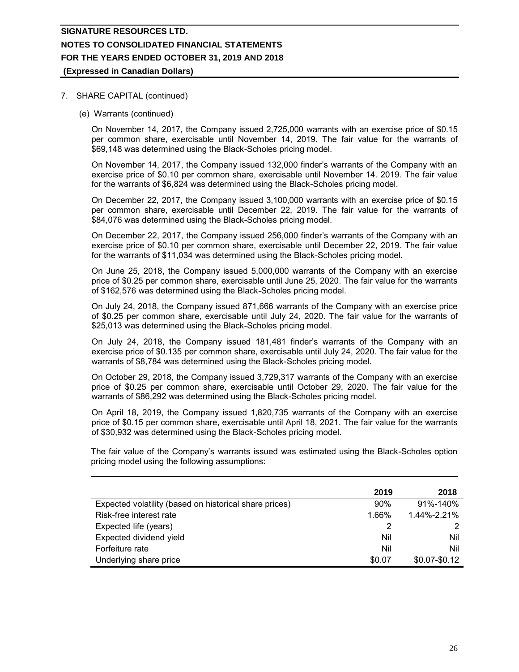# **(Expressed in Canadian Dollars)**

## 7. SHARE CAPITAL (continued)

(e) Warrants (continued)

On November 14, 2017, the Company issued 2,725,000 warrants with an exercise price of \$0.15 per common share, exercisable until November 14, 2019. The fair value for the warrants of \$69,148 was determined using the Black-Scholes pricing model.

On November 14, 2017, the Company issued 132,000 finder's warrants of the Company with an exercise price of \$0.10 per common share, exercisable until November 14. 2019. The fair value for the warrants of \$6,824 was determined using the Black-Scholes pricing model.

On December 22, 2017, the Company issued 3,100,000 warrants with an exercise price of \$0.15 per common share, exercisable until December 22, 2019. The fair value for the warrants of \$84,076 was determined using the Black-Scholes pricing model.

On December 22, 2017, the Company issued 256,000 finder's warrants of the Company with an exercise price of \$0.10 per common share, exercisable until December 22, 2019. The fair value for the warrants of \$11,034 was determined using the Black-Scholes pricing model.

On June 25, 2018, the Company issued 5,000,000 warrants of the Company with an exercise price of \$0.25 per common share, exercisable until June 25, 2020. The fair value for the warrants of \$162,576 was determined using the Black-Scholes pricing model.

On July 24, 2018, the Company issued 871,666 warrants of the Company with an exercise price of \$0.25 per common share, exercisable until July 24, 2020. The fair value for the warrants of \$25,013 was determined using the Black-Scholes pricing model.

On July 24, 2018, the Company issued 181,481 finder's warrants of the Company with an exercise price of \$0.135 per common share, exercisable until July 24, 2020. The fair value for the warrants of \$8,784 was determined using the Black-Scholes pricing model.

On October 29, 2018, the Company issued 3,729,317 warrants of the Company with an exercise price of \$0.25 per common share, exercisable until October 29, 2020. The fair value for the warrants of \$86,292 was determined using the Black-Scholes pricing model.

On April 18, 2019, the Company issued 1,820,735 warrants of the Company with an exercise price of \$0.15 per common share, exercisable until April 18, 2021. The fair value for the warrants of \$30,932 was determined using the Black-Scholes pricing model.

The fair value of the Company's warrants issued was estimated using the Black-Scholes option pricing model using the following assumptions:

|                                                        | 2019   | 2018            |
|--------------------------------------------------------|--------|-----------------|
| Expected volatility (based on historical share prices) | 90%    | 91%-140%        |
| Risk-free interest rate                                | 1.66%  | 1.44%-2.21%     |
| Expected life (years)                                  |        | 2               |
| Expected dividend yield                                | Nil    | Nil             |
| Forfeiture rate                                        | Nil    | Nil             |
| Underlying share price                                 | \$0.07 | $$0.07 - $0.12$ |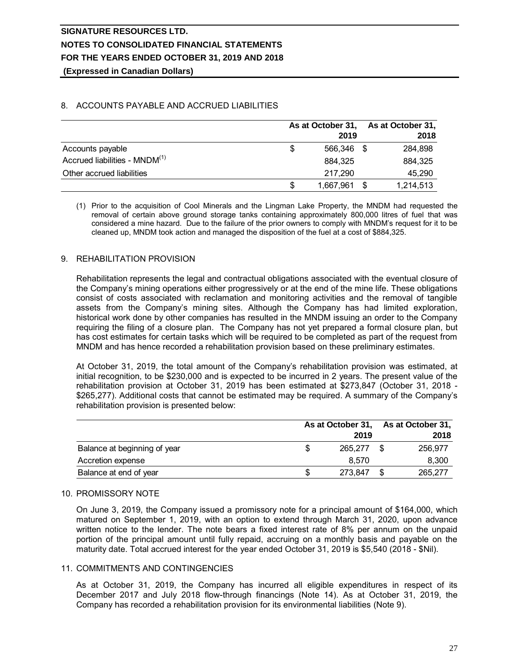**(Expressed in Canadian Dollars)**

# 8. ACCOUNTS PAYABLE AND ACCRUED LIABILITIES

|                                           | As at October 31, |              | As at October 31, |  |  |
|-------------------------------------------|-------------------|--------------|-------------------|--|--|
|                                           |                   | 2019         | 2018              |  |  |
| Accounts payable                          | S                 | 566.346 \$   | 284,898           |  |  |
| Accrued liabilities - MNDM <sup>(1)</sup> |                   | 884.325      | 884,325           |  |  |
| Other accrued liabilities                 |                   | 217.290      | 45,290            |  |  |
|                                           | \$                | 1,667,961 \$ | 1,214,513         |  |  |

(1) Prior to the acquisition of Cool Minerals and the Lingman Lake Property, the MNDM had requested the removal of certain above ground storage tanks containing approximately 800,000 litres of fuel that was considered a mine hazard. Due to the failure of the prior owners to comply with MNDM's request for it to be cleaned up, MNDM took action and managed the disposition of the fuel at a cost of \$884,325.

# 9. REHABILITATION PROVISION

Rehabilitation represents the legal and contractual obligations associated with the eventual closure of the Company's mining operations either progressively or at the end of the mine life. These obligations consist of costs associated with reclamation and monitoring activities and the removal of tangible assets from the Company's mining sites. Although the Company has had limited exploration, historical work done by other companies has resulted in the MNDM issuing an order to the Company requiring the filing of a closure plan. The Company has not yet prepared a formal closure plan, but has cost estimates for certain tasks which will be required to be completed as part of the request from MNDM and has hence recorded a rehabilitation provision based on these preliminary estimates.

At October 31, 2019, the total amount of the Company's rehabilitation provision was estimated, at initial recognition, to be \$230,000 and is expected to be incurred in 2 years. The present value of the rehabilitation provision at October 31, 2019 has been estimated at \$273,847 (October 31, 2018 - \$265,277). Additional costs that cannot be estimated may be required. A summary of the Company's rehabilitation provision is presented below:

|                              | As at October 31, As at October 31, |  |         |  |  |
|------------------------------|-------------------------------------|--|---------|--|--|
|                              | 2019                                |  | 2018    |  |  |
| Balance at beginning of year | 265.277                             |  | 256.977 |  |  |
| Accretion expense            | 8.570                               |  | 8,300   |  |  |
| Balance at end of year       | 273,847                             |  | 265,277 |  |  |

## 10. PROMISSORY NOTE

On June 3, 2019, the Company issued a promissory note for a principal amount of \$164,000, which matured on September 1, 2019, with an option to extend through March 31, 2020, upon advance written notice to the lender. The note bears a fixed interest rate of 8% per annum on the unpaid portion of the principal amount until fully repaid, accruing on a monthly basis and payable on the maturity date. Total accrued interest for the year ended October 31, 2019 is \$5,540 (2018 - \$Nil).

## 11. COMMITMENTS AND CONTINGENCIES

As at October 31, 2019, the Company has incurred all eligible expenditures in respect of its December 2017 and July 2018 flow-through financings (Note 14). As at October 31, 2019, the Company has recorded a rehabilitation provision for its environmental liabilities (Note 9).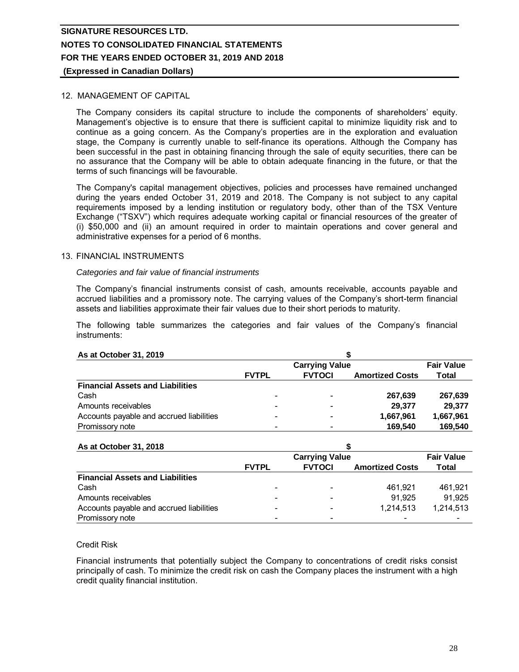# 12. MANAGEMENT OF CAPITAL

The Company considers its capital structure to include the components of shareholders' equity. Management's objective is to ensure that there is sufficient capital to minimize liquidity risk and to continue as a going concern. As the Company's properties are in the exploration and evaluation stage, the Company is currently unable to self-finance its operations. Although the Company has been successful in the past in obtaining financing through the sale of equity securities, there can be no assurance that the Company will be able to obtain adequate financing in the future, or that the terms of such financings will be favourable.

The Company's capital management objectives, policies and processes have remained unchanged during the years ended October 31, 2019 and 2018. The Company is not subject to any capital requirements imposed by a lending institution or regulatory body, other than of the TSX Venture Exchange ("TSXV") which requires adequate working capital or financial resources of the greater of (i) \$50,000 and (ii) an amount required in order to maintain operations and cover general and administrative expenses for a period of 6 months.

## 13. FINANCIAL INSTRUMENTS

## *Categories and fair value of financial instruments*

The Company's financial instruments consist of cash, amounts receivable, accounts payable and accrued liabilities and a promissory note. The carrying values of the Company's short-term financial assets and liabilities approximate their fair values due to their short periods to maturity.

The following table summarizes the categories and fair values of the Company's financial instruments:

| mstruments.                              |              |                       |                        |                   |  |  |  |
|------------------------------------------|--------------|-----------------------|------------------------|-------------------|--|--|--|
| As at October 31, 2019                   |              |                       |                        |                   |  |  |  |
|                                          |              | <b>Carrying Value</b> |                        | <b>Fair Value</b> |  |  |  |
|                                          | <b>FVTPL</b> | <b>FVTOCI</b>         | <b>Amortized Costs</b> | Total             |  |  |  |
| <b>Financial Assets and Liabilities</b>  |              |                       |                        |                   |  |  |  |
| Cash                                     |              |                       | 267,639                | 267,639           |  |  |  |
| Amounts receivables                      |              | ٠                     | 29,377                 | 29,377            |  |  |  |
| Accounts payable and accrued liabilities |              |                       | 1,667,961              | 1,667,961         |  |  |  |
| Promissory note                          |              |                       | 169.540                | 169.540           |  |  |  |

#### **As at October 31, 2018**

| Promissory note                          |              |                       | 109.340                | 109.340           |
|------------------------------------------|--------------|-----------------------|------------------------|-------------------|
|                                          |              |                       |                        |                   |
| As at October 31, 2018                   |              |                       |                        |                   |
|                                          |              | <b>Carrying Value</b> |                        | <b>Fair Value</b> |
|                                          | <b>FVTPL</b> | <b>FVTOCI</b>         | <b>Amortized Costs</b> | Total             |
| <b>Financial Assets and Liabilities</b>  |              |                       |                        |                   |
| Cash                                     | -            |                       | 461.921                | 461.921           |
| Amounts receivables                      |              |                       | 91.925                 | 91.925            |
| Accounts payable and accrued liabilities |              |                       | 1,214,513              | 1,214,513         |
| Promissory note                          |              |                       |                        |                   |

## Credit Risk

Financial instruments that potentially subject the Company to concentrations of credit risks consist principally of cash. To minimize the credit risk on cash the Company places the instrument with a high credit quality financial institution.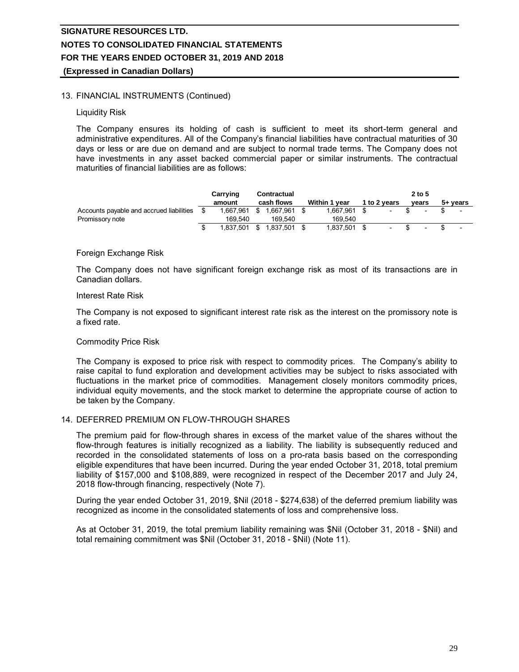# 13. FINANCIAL INSTRUMENTS (Continued)

#### Liquidity Risk

The Company ensures its holding of cash is sufficient to meet its short-term general and administrative expenditures. All of the Company's financial liabilities have contractual maturities of 30 days or less or are due on demand and are subject to normal trade terms. The Company does not have investments in any asset backed commercial paper or similar instruments. The contractual maturities of financial liabilities are as follows:

|                                          | Carrying  | Contractual    |               |              | $2$ to 5                 |                |
|------------------------------------------|-----------|----------------|---------------|--------------|--------------------------|----------------|
|                                          | amount    | cash flows     | Within 1 year | 1 to 2 years | vears                    | 5+ years       |
| Accounts payable and accrued liabilities | 1.667.961 | \$<br>.667.961 | 1,667,961     |              |                          | $\blacksquare$ |
| Promissory note                          | 169.540   | 169.540        | 169.540       |              |                          |                |
|                                          | 1,837,501 | .837.501       | 1,837,501     |              | $\overline{\phantom{a}}$ |                |

#### Foreign Exchange Risk

The Company does not have significant foreign exchange risk as most of its transactions are in Canadian dollars.

#### Interest Rate Risk

The Company is not exposed to significant interest rate risk as the interest on the promissory note is a fixed rate.

## Commodity Price Risk

The Company is exposed to price risk with respect to commodity prices. The Company's ability to raise capital to fund exploration and development activities may be subject to risks associated with fluctuations in the market price of commodities. Management closely monitors commodity prices, individual equity movements, and the stock market to determine the appropriate course of action to be taken by the Company.

# 14. DEFERRED PREMIUM ON FLOW-THROUGH SHARES

The premium paid for flow-through shares in excess of the market value of the shares without the flow-through features is initially recognized as a liability. The liability is subsequently reduced and recorded in the consolidated statements of loss on a pro-rata basis based on the corresponding eligible expenditures that have been incurred. During the year ended October 31, 2018, total premium liability of \$157,000 and \$108,889, were recognized in respect of the December 2017 and July 24, 2018 flow-through financing, respectively (Note 7).

During the year ended October 31, 2019, \$Nil (2018 - \$274,638) of the deferred premium liability was recognized as income in the consolidated statements of loss and comprehensive loss.

As at October 31, 2019, the total premium liability remaining was \$Nil (October 31, 2018 - \$Nil) and total remaining commitment was \$Nil (October 31, 2018 - \$Nil) (Note 11).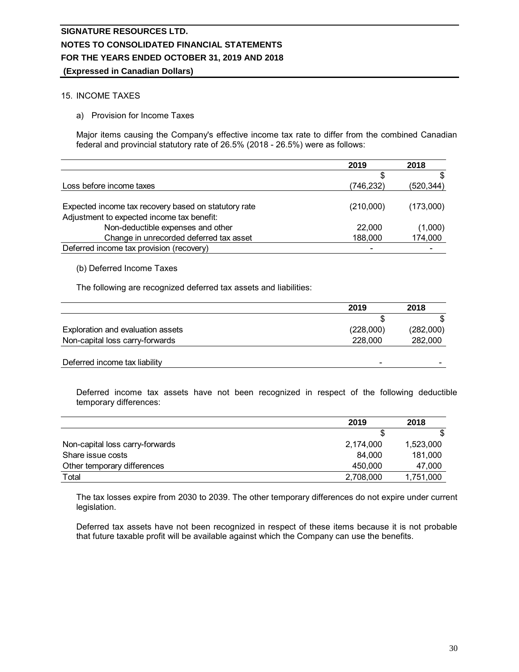## 15. INCOME TAXES

a) Provision for Income Taxes

Major items causing the Company's effective income tax rate to differ from the combined Canadian federal and provincial statutory rate of 26.5% (2018 - 26.5%) were as follows:<br>2019 2018 federal and provincial statutory rate of 26.5% (2018 - 26.5%) were as follows:

|                                                                                                    | 2019      | 2018       |
|----------------------------------------------------------------------------------------------------|-----------|------------|
|                                                                                                    | \$        | \$         |
| Loss before income taxes                                                                           | (746,232) | (520, 344) |
| Expected income tax recovery based on statutory rate<br>Adjustment to expected income tax benefit: | (210,000) | (173,000)  |
| Non-deductible expenses and other                                                                  | 22,000    | (1,000)    |
| Change in unrecorded deferred tax asset                                                            | 188,000   | 174,000    |
| Deferred income tax provision (recovery)                                                           |           |            |

## (b) Deferred Income Taxes

| (b) Deferred income Taxes                                         |           |           |
|-------------------------------------------------------------------|-----------|-----------|
| The following are recognized deferred tax assets and liabilities: |           |           |
|                                                                   | 2019      | 2018      |
|                                                                   | \$        | \$.       |
| Exploration and evaluation assets                                 | (228,000) | (282,000) |
| Non-capital loss carry-forwards                                   | 228,000   | 282,000   |
| Deferred income tax liability                                     |           |           |

| Deferred income tax assets have not been recognized in respect of the following deductil<br>temporary differences: |           |           |
|--------------------------------------------------------------------------------------------------------------------|-----------|-----------|
|                                                                                                                    | 2019      | 2018      |
|                                                                                                                    | S         | \$        |
| Non-capital loss carry-forwards                                                                                    | 2,174,000 | 1,523,000 |
| Share issue costs                                                                                                  | 84.000    | 181,000   |
| Other temporary differences                                                                                        | 450,000   | 47,000    |
| Total                                                                                                              | 2,708,000 | 1,751,000 |

The tax losses expire from 2030 to 2039. The other temporary differences do not expire under current legislation.

Deferred tax assets have not been recognized in respect of these items because it is not probable that future taxable profit will be available against which the Company can use the benefits.